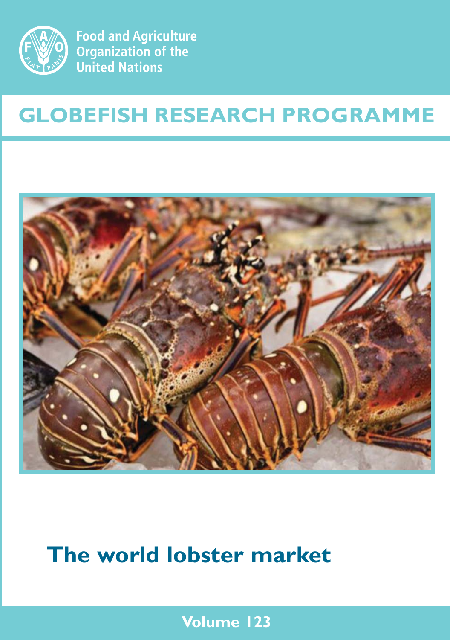

**Food and Agriculture Organization of the United Nations** 

# **GLOBEFISH RESEARCH PROGRAMME**



# **The world lobster market**

**Volume 123**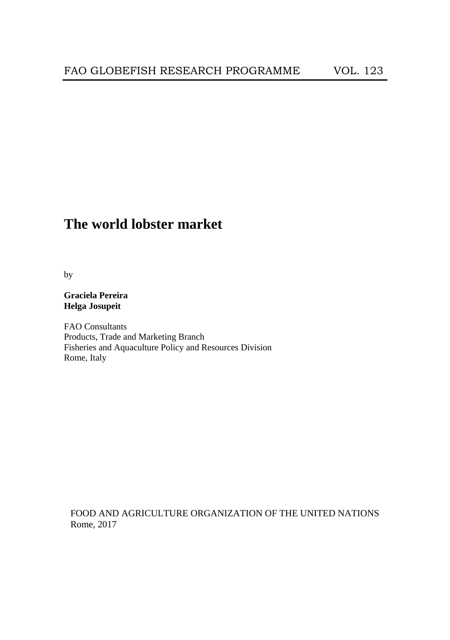# **The world lobster market**

by

### **Graciela Pereira Helga Josupeit**

FAO Consultants Products, Trade and Marketing Branch Fisheries and Aquaculture Policy and Resources Division Rome, Italy

FOOD AND AGRICULTURE ORGANIZATION OF THE UNITED NATIONS Rome, 2017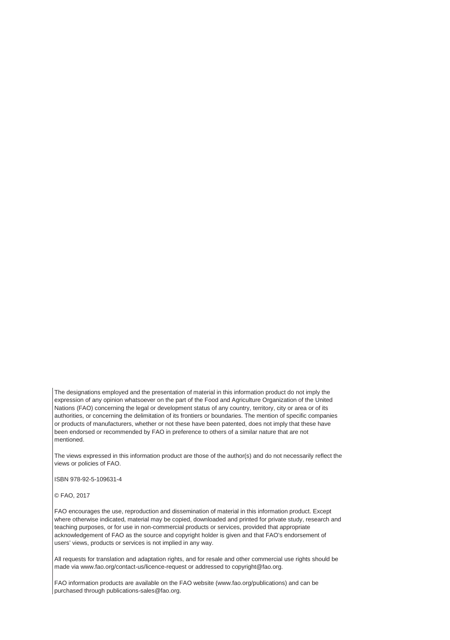The designations employed and the presentation of material in this information product do not imply the expression of any opinion whatsoever on the part of the Food and Agriculture Organization of the United Nations (FAO) concerning the legal or development status of any country, territory, city or area or of its authorities, or concerning the delimitation of its frontiers or boundaries. The mention of specific companies or products of manufacturers, whether or not these have been patented, does not imply that these have been endorsed or recommended by FAO in preference to others of a similar nature that are not mentioned.

The views expressed in this information product are those of the author(s) and do not necessarily reflect the views or policies of FAO.

ISBN 978-92-5-109631-4

© FAO, 2017

FAO encourages the use, reproduction and dissemination of material in this information product. Except where otherwise indicated, material may be copied, downloaded and printed for private study, research and teaching purposes, or for use in non-commercial products or services, provided that appropriate acknowledgement of FAO as the source and copyright holder is given and that FAO's endorsement of users' views, products or services is not implied in any way.

All requests for translation and adaptation rights, and for resale and other commercial use rights should be made via www.fao.org/contact-us/licence-request or addressed to copyright@fao.org.

FAO information products are available on the FAO website (www.fao.org/publications) and can be purchased through publications-sales@fao.org.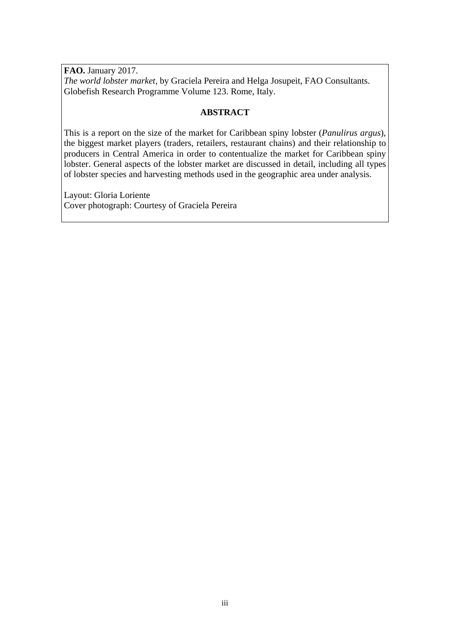**FAO.** January 2017. *The world lobster market,* by Graciela Pereira and Helga Josupeit, FAO Consultants. Globefish Research Programme Volume 123. Rome, Italy.

#### **ABSTRACT**

This is a report on the size of the market for Caribbean spiny lobster (*Panulirus argus*), the biggest market players (traders, retailers, restaurant chains) and their relationship to producers in Central America in order to contentualize the market for Caribbean spiny lobster. General aspects of the lobster market are discussed in detail, including all types of lobster species and harvesting methods used in the geographic area under analysis.

Layout: Gloria Loriente Cover photograph: Courtesy of Graciela Pereira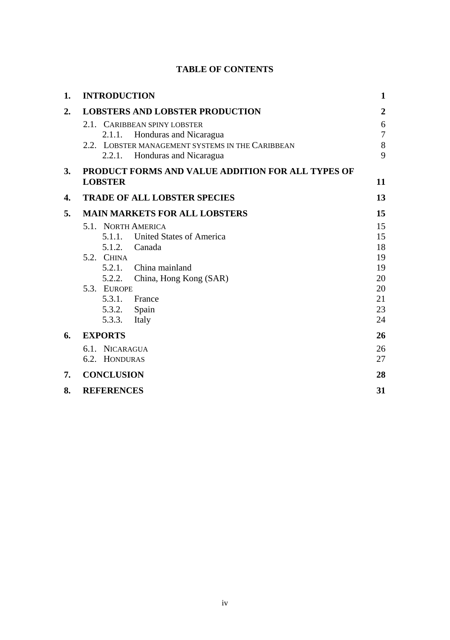# **TABLE OF CONTENTS**

| 1.               | <b>INTRODUCTION</b>                                                                                                  | 1                              |
|------------------|----------------------------------------------------------------------------------------------------------------------|--------------------------------|
| $\overline{2}$ . | <b>LOBSTERS AND LOBSTER PRODUCTION</b>                                                                               | $\mathbf{2}$                   |
|                  | 2.1. CARIBBEAN SPINY LOBSTER<br>Honduras and Nicaragua<br>2.1.1.<br>2.2. LOBSTER MANAGEMENT SYSTEMS IN THE CARIBBEAN | 6<br>$\overline{7}$<br>$\,8\,$ |
|                  | 2.2.1.<br>Honduras and Nicaragua                                                                                     | 9                              |
| 3.               | <b>PRODUCT FORMS AND VALUE ADDITION FOR ALL TYPES OF</b><br><b>LOBSTER</b>                                           | 11                             |
| 4.               | <b>TRADE OF ALL LOBSTER SPECIES</b>                                                                                  | 13                             |
| 5.               | <b>MAIN MARKETS FOR ALL LOBSTERS</b>                                                                                 | 15                             |
|                  | 5.1. NORTH AMERICA<br>5.1.1. United States of America<br>5.1.2.<br>Canada                                            | 15<br>15<br>18                 |
|                  | 5.2. CHINA<br>5.2.1.<br>China mainland<br>5.2.2.<br>China, Hong Kong (SAR)                                           | 19<br>19<br>20                 |
|                  | 5.3. EUROPE<br>5.3.1. France<br>5.3.2. Spain<br>5.3.3.<br>Italy                                                      | 20<br>21<br>23<br>24           |
| 6.               | <b>EXPORTS</b>                                                                                                       | 26                             |
|                  | 6.1. NICARAGUA<br>6.2. HONDURAS                                                                                      | 26<br>27                       |
| 7.               | <b>CONCLUSION</b>                                                                                                    | 28                             |
| 8.               | <b>REFERENCES</b>                                                                                                    | 31                             |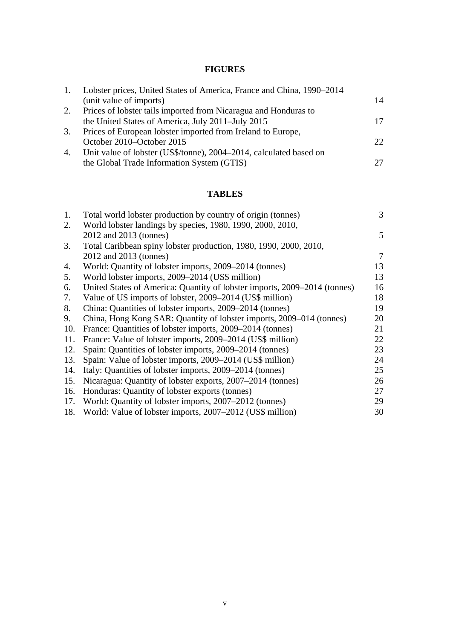# **FIGURES**

| 1. | Lobster prices, United States of America, France and China, 1990–2014 |     |
|----|-----------------------------------------------------------------------|-----|
|    | (unit value of imports)                                               | 14  |
| 2. | Prices of lobster tails imported from Nicaragua and Honduras to       |     |
|    | the United States of America, July 2011–July 2015                     | 17  |
| 3. | Prices of European lobster imported from Ireland to Europe,           |     |
|    | October 2010–October 2015                                             | 22. |
| 4. | Unit value of lobster (US\$/tonne), 2004–2014, calculated based on    |     |
|    | the Global Trade Information System (GTIS)                            | 27  |
|    |                                                                       |     |

# **TABLES**

| Total world lobster production by country of origin (tonnes)              | 3                                                         |
|---------------------------------------------------------------------------|-----------------------------------------------------------|
| World lobster landings by species, 1980, 1990, 2000, 2010,                |                                                           |
| 2012 and 2013 (tonnes)                                                    | 5                                                         |
| Total Caribbean spiny lobster production, 1980, 1990, 2000, 2010,         |                                                           |
| 2012 and 2013 (tonnes)                                                    | 7                                                         |
| World: Quantity of lobster imports, 2009–2014 (tonnes)                    | 13                                                        |
| World lobster imports, 2009-2014 (US\$ million)                           | 13                                                        |
| United States of America: Quantity of lobster imports, 2009–2014 (tonnes) | 16                                                        |
| Value of US imports of lobster, 2009–2014 (US\$ million)                  | 18                                                        |
| China: Quantities of lobster imports, 2009–2014 (tonnes)                  | 19                                                        |
| China, Hong Kong SAR: Quantity of lobster imports, 2009–014 (tonnes)      | 20                                                        |
| France: Quantities of lobster imports, 2009–2014 (tonnes)                 | 21                                                        |
| France: Value of lobster imports, 2009–2014 (US\$ million)                | 22                                                        |
| Spain: Quantities of lobster imports, 2009–2014 (tonnes)                  | 23                                                        |
|                                                                           | 24                                                        |
| Italy: Quantities of lobster imports, 2009–2014 (tonnes)                  | 25                                                        |
| Nicaragua: Quantity of lobster exports, 2007–2014 (tonnes)                | 26                                                        |
| Honduras: Quantity of lobster exports (tonnes)                            | 27                                                        |
| World: Quantity of lobster imports, 2007–2012 (tonnes)                    | 29                                                        |
| World: Value of lobster imports, 2007–2012 (US\$ million)                 | 30                                                        |
|                                                                           | Spain: Value of lobster imports, 2009-2014 (US\$ million) |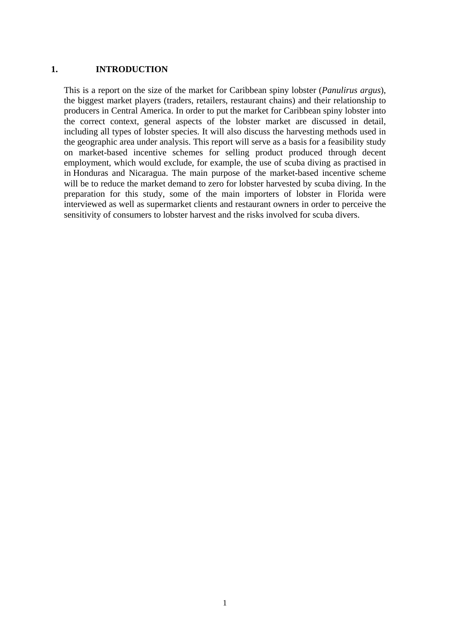#### **1. INTRODUCTION**

This is a report on the size of the market for Caribbean spiny lobster (*Panulirus argus*), the biggest market players (traders, retailers, restaurant chains) and their relationship to producers in Central America. In order to put the market for Caribbean spiny lobster into the correct context, general aspects of the lobster market are discussed in detail, including all types of lobster species. It will also discuss the harvesting methods used in the geographic area under analysis. This report will serve as a basis for a feasibility study on market-based incentive schemes for selling product produced through decent employment, which would exclude, for example, the use of scuba diving as practised in in Honduras and Nicaragua. The main purpose of the market-based incentive scheme will be to reduce the market demand to zero for lobster harvested by scuba diving. In the preparation for this study, some of the main importers of lobster in Florida were interviewed as well as supermarket clients and restaurant owners in order to perceive the sensitivity of consumers to lobster harvest and the risks involved for scuba divers.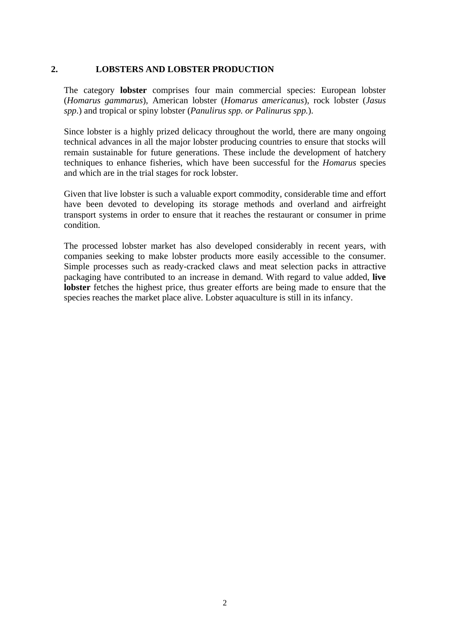#### **2. LOBSTERS AND LOBSTER PRODUCTION**

The category **lobster** comprises four main commercial species: European lobster (*Homarus gammarus*), American lobster (*Homarus americanus*), rock lobster (*Jasus spp*.) and tropical or spiny lobster (*Panulirus spp. or Palinurus spp.*).

Since lobster is a highly prized delicacy throughout the world, there are many ongoing technical advances in all the major lobster producing countries to ensure that stocks will remain sustainable for future generations. These include the development of hatchery techniques to enhance fisheries, which have been successful for the *Homarus* species and which are in the trial stages for rock lobster.

Given that live lobster is such a valuable export commodity, considerable time and effort have been devoted to developing its storage methods and overland and airfreight transport systems in order to ensure that it reaches the restaurant or consumer in prime condition.

The processed lobster market has also developed considerably in recent years, with companies seeking to make lobster products more easily accessible to the consumer. Simple processes such as ready-cracked claws and meat selection packs in attractive packaging have contributed to an increase in demand. With regard to value added, **live lobster** fetches the highest price, thus greater efforts are being made to ensure that the species reaches the market place alive. Lobster aquaculture is still in its infancy.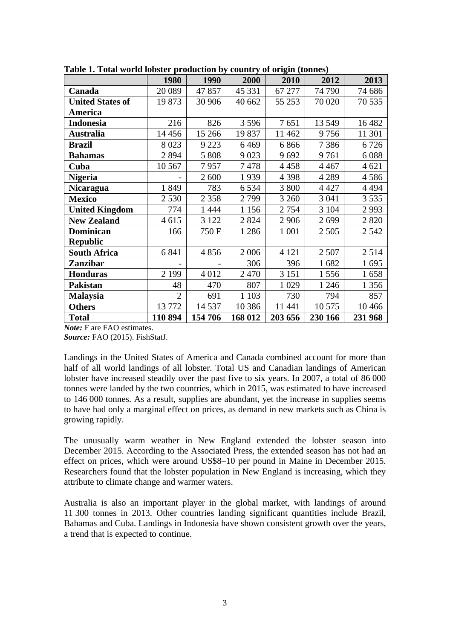| rabic 1. Fotal world lobster production by country of origin (tonnes) |         |             |         |         |         |         |  |  |
|-----------------------------------------------------------------------|---------|-------------|---------|---------|---------|---------|--|--|
|                                                                       | 1980    | <b>1990</b> | 2000    | 2010    | 2012    | 2013    |  |  |
| Canada                                                                | 20 089  | 47 857      | 45 331  | 67 277  | 74 790  | 74 686  |  |  |
| <b>United States of</b>                                               | 19 873  | 30 906      | 40 662  | 55 253  | 70 0 20 | 70 535  |  |  |
| America                                                               |         |             |         |         |         |         |  |  |
| <b>Indonesia</b>                                                      | 216     | 826         | 3 5 9 6 | 7651    | 13 549  | 16 4 82 |  |  |
| Australia                                                             | 14 456  | 15 266      | 19 837  | 11 4 62 | 9756    | 11 301  |  |  |
| Brazil                                                                | 8 0 23  | 9 2 2 3     | 6469    | 6866    | 7386    | 6726    |  |  |
| <b>Bahamas</b>                                                        | 2 8 9 4 | 5 808       | 9023    | 9692    | 9761    | 6088    |  |  |
| Cuba                                                                  | 10 5 67 | 7957        | 7478    | 4458    | 4 4 6 7 | 4 621   |  |  |
| <b>Nigeria</b>                                                        |         | 2 600       | 1939    | 4 3 9 8 | 4 2 8 9 | 4586    |  |  |
| <b>Nicaragua</b>                                                      | 1849    | 783         | 6 5 3 4 | 3 800   | 4 4 2 7 | 4 4 9 4 |  |  |
| <b>Mexico</b>                                                         | 2 5 3 0 | 2 3 5 8     | 2799    | 3 2 6 0 | 3 0 4 1 | 3 5 3 5 |  |  |
| <b>United Kingdom</b>                                                 | 774     | 1444        | 1 1 5 6 | 2 7 5 4 | 3 1 0 4 | 2993    |  |  |
| <b>New Zealand</b>                                                    | 4615    | 3 1 2 2     | 2 8 2 4 | 2 9 0 6 | 2699    | 2820    |  |  |
| Dominican                                                             | 166     | 750 F       | 1 2 8 6 | 1 0 0 1 | 2 5 0 5 | 2 5 4 2 |  |  |
| <b>Republic</b>                                                       |         |             |         |         |         |         |  |  |
| <b>South Africa</b>                                                   | 6 8 4 1 | 4856        | 2 0 0 6 | 4 1 2 1 | 2507    | 2514    |  |  |
| <b>Zanzibar</b>                                                       |         |             | 306     | 396     | 1682    | 1695    |  |  |
| <b>Honduras</b>                                                       | 2 1 9 9 | 4 0 1 2     | 2 4 7 0 | 3 1 5 1 | 1556    | 1658    |  |  |
| Pakistan                                                              | 48      | 470         | 807     | 1 0 29  | 1 2 4 6 | 1 3 5 6 |  |  |
| Malaysia                                                              | 2       | 691         | 1 1 0 3 | 730     | 794     | 857     |  |  |
| <b>Others</b>                                                         | 13772   | 14 5 37     | 10 386  | 11 441  | 10 575  | 10466   |  |  |
| <b>Total</b>                                                          | 110 894 | 154 706     | 168 012 | 203 656 | 230 166 | 231 968 |  |  |

**Table 1. Total world lobster production by country of origin (tonnes)** 

*Note:* F are FAO estimates.

*Source:* FAO (2015). FishStatJ.

Landings in the United States of America and Canada combined account for more than half of all world landings of all lobster. Total US and Canadian landings of American lobster have increased steadily over the past five to six years. In 2007, a total of 86 000 tonnes were landed by the two countries, which in 2015, was estimated to have increased to 146 000 tonnes. As a result, supplies are abundant, yet the increase in supplies seems to have had only a marginal effect on prices, as demand in new markets such as China is growing rapidly.

The unusually warm weather in New England extended the lobster season into December 2015. According to the Associated Press, the extended season has not had an effect on prices, which were around US\$8–10 per pound in Maine in December 2015. Researchers found that the lobster population in New England is increasing, which they attribute to climate change and warmer waters.

Australia is also an important player in the global market, with landings of around 11 300 tonnes in 2013. Other countries landing significant quantities include Brazil, Bahamas and Cuba. Landings in Indonesia have shown consistent growth over the years, a trend that is expected to continue.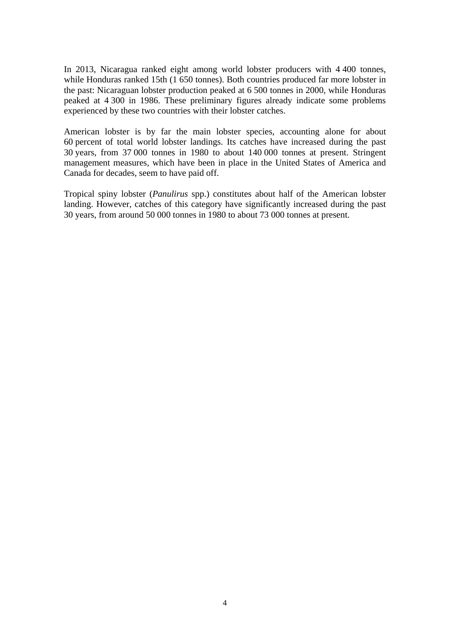In 2013, Nicaragua ranked eight among world lobster producers with 4 400 tonnes, while Honduras ranked 15th (1 650 tonnes). Both countries produced far more lobster in the past: Nicaraguan lobster production peaked at 6 500 tonnes in 2000, while Honduras peaked at 4 300 in 1986. These preliminary figures already indicate some problems experienced by these two countries with their lobster catches.

American lobster is by far the main lobster species, accounting alone for about 60 percent of total world lobster landings. Its catches have increased during the past 30 years, from 37 000 tonnes in 1980 to about 140 000 tonnes at present. Stringent management measures, which have been in place in the United States of America and Canada for decades, seem to have paid off.

Tropical spiny lobster (*Panulirus* spp.) constitutes about half of the American lobster landing. However, catches of this category have significantly increased during the past 30 years, from around 50 000 tonnes in 1980 to about 73 000 tonnes at present.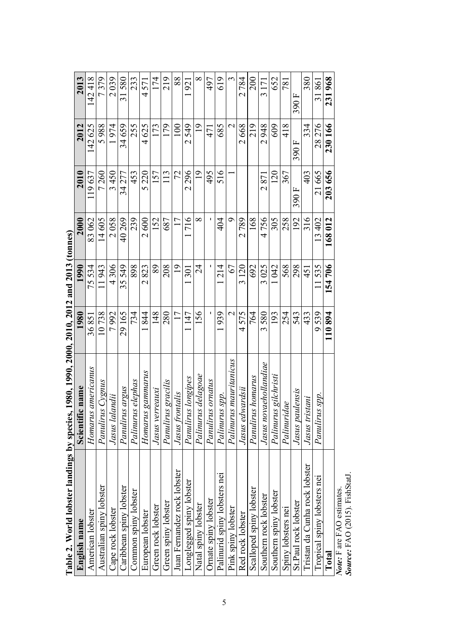| Table 2. World lobster lan    | dings by species, 1980, 1990, 2000, 2010, 2012 and 2013 (tonnes) |                |                |          |                 |                |              |
|-------------------------------|------------------------------------------------------------------|----------------|----------------|----------|-----------------|----------------|--------------|
| English name                  | Scientific name                                                  | 1980           | 1990           | 2000     | 2010            | 2012           | 2013         |
| American lobster              | Homarus americanus                                               | 36851          | 75534          | 83062    | 19637           | 142 625        | 42418        |
| Australian spiny lobster      | Panulirus Cygnus                                                 | 10738          | 1943           | 14605    | 7260            | 5988           | 7379         |
| Cape rock lobster             | Jasus lalandii                                                   | 7992           | 4306           | 2058     | 3450            | 1974           | 2039         |
| Caribbean spiny lobster       | Panulirus argus                                                  | 29165          | 35549          | 40269    | 34 277          | 34659          | 31580        |
| Common spiny lobster          | Palinurus elephas                                                | 734            | 898            | 239      | 453             | 255            | 233          |
| European lobster              | Homarus gammarus                                                 | 844            | 2823           | 2600     | 5220            | 4625           | 4571         |
| Green rock lobster            | Jasus verreauxi                                                  | $\frac{8}{14}$ | 89             | 152      | 157             | 173            | 174          |
| Green spiny lobster           | Panulirus gracilis                                               | 280            | 208            | 687      | $\overline{13}$ | 179            | 219          |
| Juan Fernandez rock lobster   | Jasus frontalis                                                  | □              | $\frac{1}{2}$  |          | 72              | $\epsilon$     | 88           |
| Longlegged spiny lobster      | Panulirus longipes                                               | 147            | 501            | 716      | 2296            | 2549           | 1921         |
| Natal spiny lobster           | Palinurus delagoae                                               | 156            | $\overline{c}$ | $\infty$ | $\circ$         | $\overline{9}$ | ${}^{\circ}$ |
| <b>Ornate spiny lobster</b>   | Panulirus ornatus                                                |                |                |          | 495             | 471            | 497          |
| Palinurid spiny lobsters nei  | Palinurus spp.                                                   | 1939           | 214            | 404      | 516             | 685            | 619          |
| Pink spiny lobster            | Palinurus mauritanicus                                           |                | 67             | σ        |                 |                |              |
| Red rock lobster              | Jasus edwardsii                                                  | 4575           | 3120           | 2789     |                 | 2668           | 2784         |
| Scalloped spiny lobster       | Panulirus homarus                                                | 764            | 692            | 168      |                 | 219            | 200          |
| Southern rock lobster         | Jasus novaehollandiae                                            | 3580           | 3025           | 4756     | 2871            | 2948           | 3 171        |
| Southern spiny lobster        | Palinurus gilchristi                                             | 193            | 042            | 305      | 20              | 609            | 652          |
| Spiny lobsters nei            | Palinuridae                                                      | 254            | 568            | 258      | 367             | 418            | 781          |
| St.Paul rock lobster          | Jasus paulensis                                                  | 543            | 298            | 192      | 390F            | 390F           | 390F         |
| Tristan da Cunha rock lobster | Jasus tristani                                                   | 433            | 451            | 316      | 403             | 334            | 380          |
| Tropical spiny lobsters nei   | Panulirus spp.                                                   | 9539           | .535           | 13402    | 21665           | 28276          | 31861        |
| Total                         |                                                                  | 110894         | 154706         | 168012   | 203656          | 230166         | 231968       |
| Note: F are FAO estimates.    |                                                                  |                |                |          |                 |                |              |
| Source: FAO (2015). FishStatl |                                                                  |                |                |          |                 |                |              |

5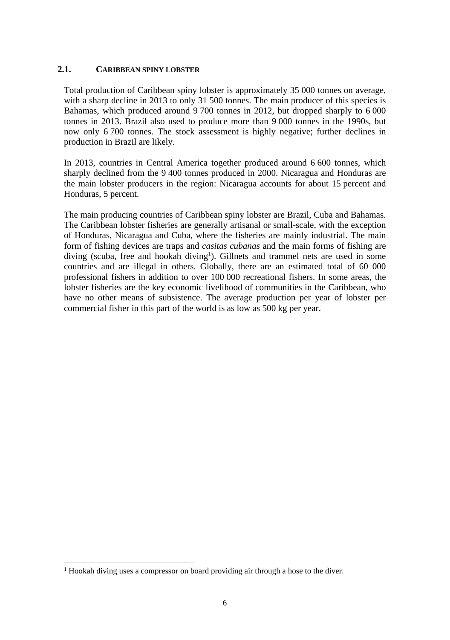#### **2.1. CARIBBEAN SPINY LOBSTER**

Total production of Caribbean spiny lobster is approximately 35 000 tonnes on average, with a sharp decline in 2013 to only 31 500 tonnes. The main producer of this species is Bahamas, which produced around 9 700 tonnes in 2012, but dropped sharply to 6 000 tonnes in 2013. Brazil also used to produce more than 9 000 tonnes in the 1990s, but now only 6 700 tonnes. The stock assessment is highly negative; further declines in production in Brazil are likely.

In 2013, countries in Central America together produced around 6 600 tonnes, which sharply declined from the 9 400 tonnes produced in 2000. Nicaragua and Honduras are the main lobster producers in the region: Nicaragua accounts for about 15 percent and Honduras, 5 percent.

The main producing countries of Caribbean spiny lobster are Brazil, Cuba and Bahamas. The Caribbean lobster fisheries are generally artisanal or small-scale, with the exception of Honduras, Nicaragua and Cuba, where the fisheries are mainly industrial. The main form of fishing devices are traps and *casitas cubanas* and the main forms of fishing are diving (scuba, free and hookah diving<sup>1</sup>). Gillnets and trammel nets are used in some countries and are illegal in others. Globally, there are an estimated total of 60 000 professional fishers in addition to over 100 000 recreational fishers. In some areas, the lobster fisheries are the key economic livelihood of communities in the Caribbean, who have no other means of subsistence. The average production per year of lobster per commercial fisher in this part of the world is as low as 500 kg per year.

 $\overline{\phantom{a}}$ 

<sup>&</sup>lt;sup>1</sup> Hookah diving uses a compressor on board providing air through a hose to the diver.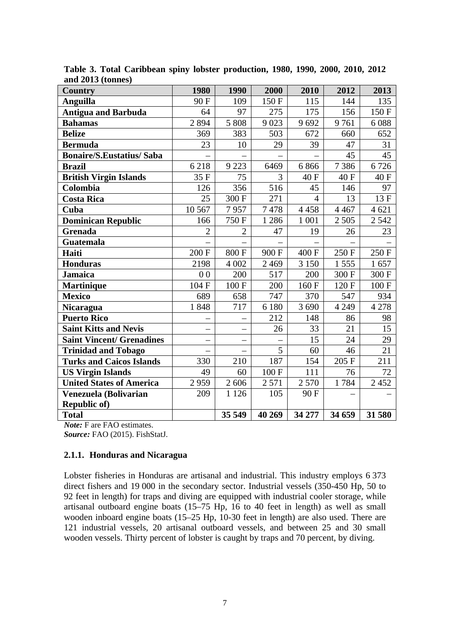| Country                          | 1980              | 1990                     | 2000    | 2010           | 2012               | 2013    |
|----------------------------------|-------------------|--------------------------|---------|----------------|--------------------|---------|
| <b>Anguilla</b>                  | 90F               | 109                      | 150 F   | 115            | 144                | 135     |
| <b>Antigua and Barbuda</b>       | 64                | 97                       | 275     | 175            | 156                | 150F    |
| <b>Bahamas</b>                   | 2894              | $\overline{5}808$        | 9023    | 9692           | 9761               | 6088    |
| <b>Belize</b>                    | 369               | 383                      | 503     | 672            | 660                | 652     |
| <b>Bermuda</b>                   | 23                | 10                       | 29      | 39             | 47                 | 31      |
| <b>Bonaire/S.Eustatius/ Saba</b> |                   |                          |         |                | 45                 | 45      |
| <b>Brazil</b>                    | 6218              | 9 2 23                   | 6469    | 6866           | 7386               | 6726    |
| <b>British Virgin Islands</b>    | 35 F              | 75                       | 3       | 40F            | 40F                | 40 F    |
| Colombia                         | 126               | 356                      | 516     | 45             | 146                | 97      |
| <b>Costa Rica</b>                | 25                | 300 F                    | 271     | $\overline{4}$ | 13                 | 13F     |
| Cuba                             | 10 5 67           | 7957                     | 7478    | 4 4 5 8        | 4 4 6 7            | 4 621   |
| <b>Dominican Republic</b>        | 166               | 750F                     | 1 2 8 6 | 1 0 0 1        | 2 5 0 5            | 2542    |
| Grenada                          | $\overline{2}$    | $\overline{2}$           | 47      | 19             | 26                 | 23      |
| <b>Guatemala</b>                 |                   |                          |         |                |                    |         |
| Haiti                            | 200 F             | 800F                     | 900F    | 400 F          | 250 F              | 250 F   |
| <b>Honduras</b>                  | 2198              | 4 0 0 2                  | 2 4 6 9 | 3 1 5 0        | 1555               | 1657    |
| <b>Jamaica</b>                   | 0 <sub>0</sub>    | 200                      | 517     | 200            | 300 F              | 300 F   |
| <b>Martinique</b>                | 104 F             | 100 F                    | 200     | 160 F          | 120 F              | 100F    |
| <b>Mexico</b>                    | 689               | 658                      | 747     | 370            | 547                | 934     |
| <b>Nicaragua</b>                 | 1848              | 717                      | 6 180   | 3 6 9 0        | 4 2 4 9            | 4 2 7 8 |
| <b>Puerto Rico</b>               |                   |                          | 212     | 148            | 86                 | 98      |
| <b>Saint Kitts and Nevis</b>     | $\qquad \qquad -$ | -                        | 26      | 33             | 21                 | 15      |
| <b>Saint Vincent/ Grenadines</b> |                   |                          |         | 15             | 24                 | 29      |
| <b>Trinidad and Tobago</b>       |                   | $\overline{\phantom{0}}$ | 5       | 60             | 46                 | 21      |
| <b>Turks and Caicos Islands</b>  | 330               | 210                      | 187     | 154            | 205 F              | 211     |
| <b>US Virgin Islands</b>         | 49                | 60                       | 100F    | 111            | 76                 | 72      |
| <b>United States of America</b>  | 2959              | 2 606                    | 2571    | 2 570          | $\overline{1}$ 784 | 2 4 5 2 |
| Venezuela (Bolivarian            | 209               | 1 1 2 6                  | 105     | 90 F           |                    |         |
| Republic of)                     |                   |                          |         |                |                    |         |
| <b>Total</b>                     |                   | 35 549                   | 40 269  | 34 277         | 34 659             | 31 580  |

**Table 3. Total Caribbean spiny lobster production, 1980, 1990, 2000, 2010, 2012 and 2013 (tonnes)** 

*Note:* F are FAO estimates. *Source:* FAO (2015). FishStatJ.

# **2.1.1. Honduras and Nicaragua**

Lobster fisheries in Honduras are artisanal and industrial. This industry employs 6 373 direct fishers and 19 000 in the secondary sector. Industrial vessels (350-450 Hp, 50 to 92 feet in length) for traps and diving are equipped with industrial cooler storage, while artisanal outboard engine boats (15–75 Hp, 16 to 40 feet in length) as well as small wooden inboard engine boats (15–25 Hp, 10-30 feet in length) are also used. There are 121 industrial vessels, 20 artisanal outboard vessels, and between 25 and 30 small wooden vessels. Thirty percent of lobster is caught by traps and 70 percent, by diving.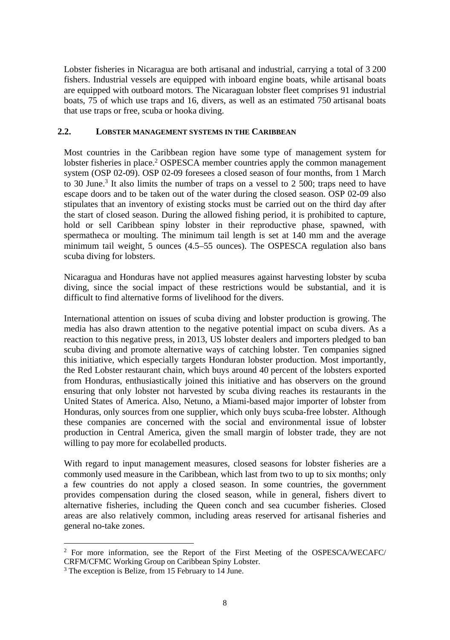Lobster fisheries in Nicaragua are both artisanal and industrial, carrying a total of 3 200 fishers. Industrial vessels are equipped with inboard engine boats, while artisanal boats are equipped with outboard motors. The Nicaraguan lobster fleet comprises 91 industrial boats, 75 of which use traps and 16, divers, as well as an estimated 750 artisanal boats that use traps or free, scuba or hooka diving.

#### **2.2. LOBSTER MANAGEMENT SYSTEMS IN THE CARIBBEAN**

Most countries in the Caribbean region have some type of management system for lobster fisheries in place.<sup>2</sup> OSPESCA member countries apply the common management system (OSP 02-09). OSP 02-09 foresees a closed season of four months, from 1 March to 30 June.<sup>3</sup> It also limits the number of traps on a vessel to 2 500; traps need to have escape doors and to be taken out of the water during the closed season. OSP 02-09 also stipulates that an inventory of existing stocks must be carried out on the third day after the start of closed season. During the allowed fishing period, it is prohibited to capture, hold or sell Caribbean spiny lobster in their reproductive phase, spawned, with spermatheca or moulting. The minimum tail length is set at 140 mm and the average minimum tail weight, 5 ounces (4.5–55 ounces). The OSPESCA regulation also bans scuba diving for lobsters.

Nicaragua and Honduras have not applied measures against harvesting lobster by scuba diving, since the social impact of these restrictions would be substantial, and it is difficult to find alternative forms of livelihood for the divers.

International attention on issues of scuba diving and lobster production is growing. The media has also drawn attention to the negative potential impact on scuba divers. As a reaction to this negative press, in 2013, US lobster dealers and importers pledged to ban scuba diving and promote alternative ways of catching lobster. Ten companies signed this initiative, which especially targets Honduran lobster production. Most importantly, the Red Lobster restaurant chain, which buys around 40 percent of the lobsters exported from Honduras, enthusiastically joined this initiative and has observers on the ground ensuring that only lobster not harvested by scuba diving reaches its restaurants in the United States of America. Also, Netuno, a Miami-based major importer of lobster from Honduras, only sources from one supplier, which only buys scuba-free lobster. Although these companies are concerned with the social and environmental issue of lobster production in Central America, given the small margin of lobster trade, they are not willing to pay more for ecolabelled products.

With regard to input management measures, closed seasons for lobster fisheries are a commonly used measure in the Caribbean, which last from two to up to six months; only a few countries do not apply a closed season. In some countries, the government provides compensation during the closed season, while in general, fishers divert to alternative fisheries, including the Queen conch and sea cucumber fisheries. Closed areas are also relatively common, including areas reserved for artisanal fisheries and general no-take zones.

 $\overline{\phantom{a}}$ 

<sup>2</sup> For more information, see the Report of the First Meeting of the OSPESCA/WECAFC/ CRFM/CFMC Working Group on Caribbean Spiny Lobster.

<sup>&</sup>lt;sup>3</sup> The exception is Belize, from 15 February to 14 June.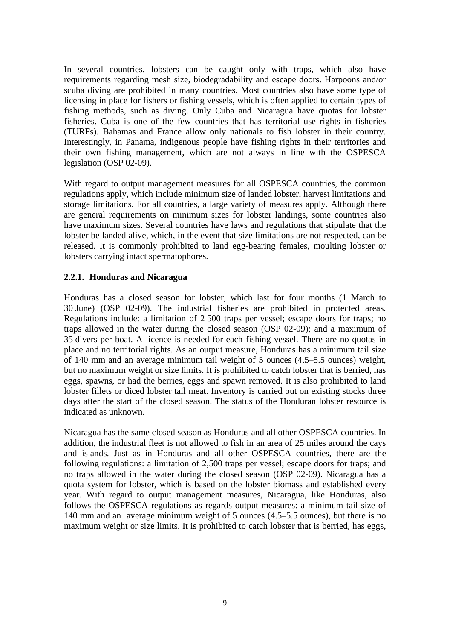In several countries, lobsters can be caught only with traps, which also have requirements regarding mesh size, biodegradability and escape doors. Harpoons and/or scuba diving are prohibited in many countries. Most countries also have some type of licensing in place for fishers or fishing vessels, which is often applied to certain types of fishing methods, such as diving. Only Cuba and Nicaragua have quotas for lobster fisheries. Cuba is one of the few countries that has territorial use rights in fisheries (TURFs). Bahamas and France allow only nationals to fish lobster in their country. Interestingly, in Panama, indigenous people have fishing rights in their territories and their own fishing management, which are not always in line with the OSPESCA legislation (OSP 02-09).

With regard to output management measures for all OSPESCA countries, the common regulations apply, which include minimum size of landed lobster, harvest limitations and storage limitations. For all countries, a large variety of measures apply. Although there are general requirements on minimum sizes for lobster landings, some countries also have maximum sizes. Several countries have laws and regulations that stipulate that the lobster be landed alive, which, in the event that size limitations are not respected, can be released. It is commonly prohibited to land egg-bearing females, moulting lobster or lobsters carrying intact spermatophores.

#### **2.2.1. Honduras and Nicaragua**

Honduras has a closed season for lobster, which last for four months (1 March to 30 June) (OSP 02-09). The industrial fisheries are prohibited in protected areas. Regulations include: a limitation of 2 500 traps per vessel; escape doors for traps; no traps allowed in the water during the closed season (OSP 02-09); and a maximum of 35 divers per boat. A licence is needed for each fishing vessel. There are no quotas in place and no territorial rights. As an output measure, Honduras has a minimum tail size of 140 mm and an average minimum tail weight of 5 ounces (4.5–5.5 ounces) weight, but no maximum weight or size limits. It is prohibited to catch lobster that is berried, has eggs, spawns, or had the berries, eggs and spawn removed. It is also prohibited to land lobster fillets or diced lobster tail meat. Inventory is carried out on existing stocks three days after the start of the closed season. The status of the Honduran lobster resource is indicated as unknown.

Nicaragua has the same closed season as Honduras and all other OSPESCA countries. In addition, the industrial fleet is not allowed to fish in an area of 25 miles around the cays and islands. Just as in Honduras and all other OSPESCA countries, there are the following regulations: a limitation of 2,500 traps per vessel; escape doors for traps; and no traps allowed in the water during the closed season (OSP 02-09). Nicaragua has a quota system for lobster, which is based on the lobster biomass and established every year. With regard to output management measures, Nicaragua, like Honduras, also follows the OSPESCA regulations as regards output measures: a minimum tail size of 140 mm and an average minimum weight of 5 ounces (4.5–5.5 ounces), but there is no maximum weight or size limits. It is prohibited to catch lobster that is berried, has eggs,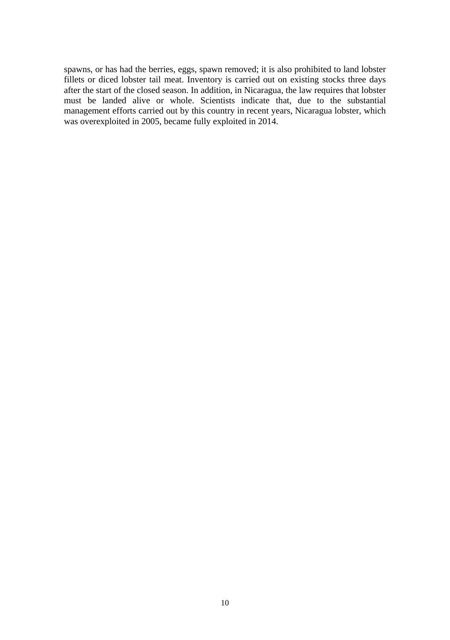spawns, or has had the berries, eggs, spawn removed; it is also prohibited to land lobster fillets or diced lobster tail meat. Inventory is carried out on existing stocks three days after the start of the closed season. In addition, in Nicaragua, the law requires that lobster must be landed alive or whole. Scientists indicate that, due to the substantial management efforts carried out by this country in recent years, Nicaragua lobster, which was overexploited in 2005, became fully exploited in 2014.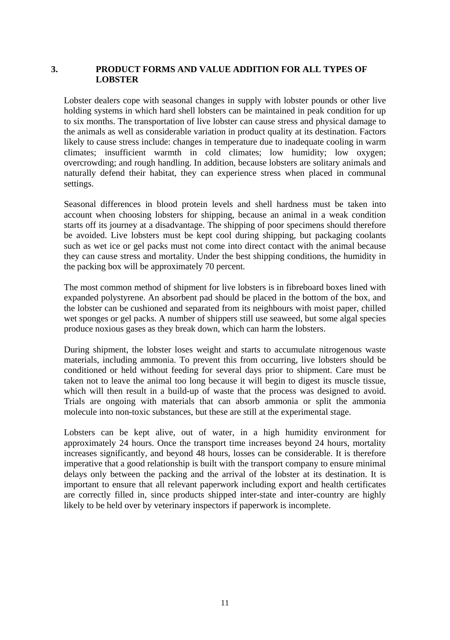#### **3. PRODUCT FORMS AND VALUE ADDITION FOR ALL TYPES OF LOBSTER**

Lobster dealers cope with seasonal changes in supply with lobster pounds or other live holding systems in which hard shell lobsters can be maintained in peak condition for up to six months. The transportation of live lobster can cause stress and physical damage to the animals as well as considerable variation in product quality at its destination. Factors likely to cause stress include: changes in temperature due to inadequate cooling in warm climates; insufficient warmth in cold climates; low humidity; low oxygen; overcrowding; and rough handling. In addition, because lobsters are solitary animals and naturally defend their habitat, they can experience stress when placed in communal settings.

Seasonal differences in blood protein levels and shell hardness must be taken into account when choosing lobsters for shipping, because an animal in a weak condition starts off its journey at a disadvantage. The shipping of poor specimens should therefore be avoided. Live lobsters must be kept cool during shipping, but packaging coolants such as wet ice or gel packs must not come into direct contact with the animal because they can cause stress and mortality. Under the best shipping conditions, the humidity in the packing box will be approximately 70 percent.

The most common method of shipment for live lobsters is in fibreboard boxes lined with expanded polystyrene. An absorbent pad should be placed in the bottom of the box, and the lobster can be cushioned and separated from its neighbours with moist paper, chilled wet sponges or gel packs. A number of shippers still use seaweed, but some algal species produce noxious gases as they break down, which can harm the lobsters.

During shipment, the lobster loses weight and starts to accumulate nitrogenous waste materials, including ammonia. To prevent this from occurring, live lobsters should be conditioned or held without feeding for several days prior to shipment. Care must be taken not to leave the animal too long because it will begin to digest its muscle tissue, which will then result in a build-up of waste that the process was designed to avoid. Trials are ongoing with materials that can absorb ammonia or split the ammonia molecule into non-toxic substances, but these are still at the experimental stage.

Lobsters can be kept alive, out of water, in a high humidity environment for approximately 24 hours. Once the transport time increases beyond 24 hours, mortality increases significantly, and beyond 48 hours, losses can be considerable. It is therefore imperative that a good relationship is built with the transport company to ensure minimal delays only between the packing and the arrival of the lobster at its destination. It is important to ensure that all relevant paperwork including export and health certificates are correctly filled in, since products shipped inter-state and inter-country are highly likely to be held over by veterinary inspectors if paperwork is incomplete.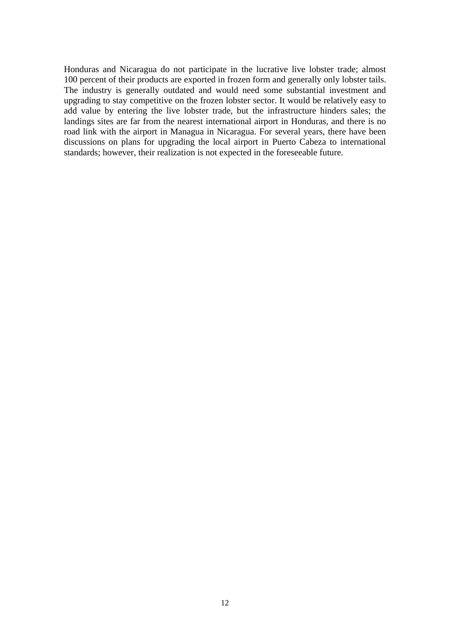Honduras and Nicaragua do not participate in the lucrative live lobster trade; almost 100 percent of their products are exported in frozen form and generally only lobster tails. The industry is generally outdated and would need some substantial investment and upgrading to stay competitive on the frozen lobster sector. It would be relatively easy to add value by entering the live lobster trade, but the infrastructure hinders sales; the landings sites are far from the nearest international airport in Honduras, and there is no road link with the airport in Managua in Nicaragua. For several years, there have been discussions on plans for upgrading the local airport in Puerto Cabeza to international standards; however, their realization is not expected in the foreseeable future.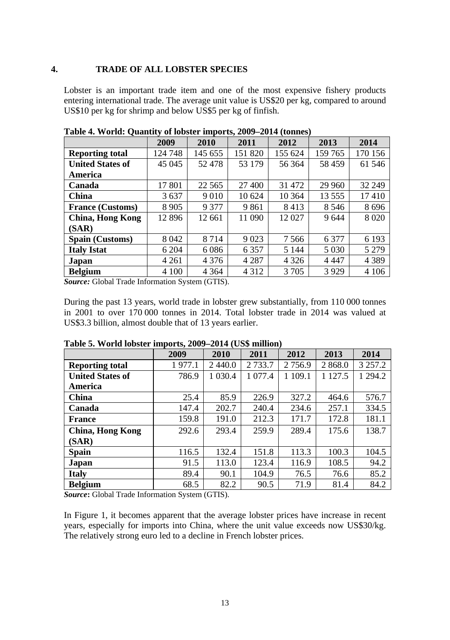#### **4. TRADE OF ALL LOBSTER SPECIES**

Lobster is an important trade item and one of the most expensive fishery products entering international trade. The average unit value is US\$20 per kg, compared to around US\$10 per kg for shrimp and below US\$5 per kg of finfish.

|                         | 2009    | 2010    | 2011    | 2012    | 2013     | 2014    |
|-------------------------|---------|---------|---------|---------|----------|---------|
| <b>Reporting total</b>  | 124 748 | 145 655 | 151 820 | 155 624 | 159 765  | 170 156 |
| <b>United States of</b> | 45 045  | 52 478  | 53 179  | 56 364  | 58 4 59  | 61 546  |
| America                 |         |         |         |         |          |         |
| Canada                  | 17 801  | 22 5 65 | 27 400  | 31 472  | 29 960   | 32 249  |
| <b>China</b>            | 3637    | 9 0 1 0 | 10 624  | 10 364  | 13 5 5 5 | 17410   |
| <b>France (Customs)</b> | 8 9 0 5 | 9 3 7 7 | 9861    | 8413    | 8 5 4 6  | 8696    |
| China, Hong Kong        | 12896   | 12 661  | 11 090  | 12027   | 9644     | 8 0 20  |
| (SAR)                   |         |         |         |         |          |         |
| <b>Spain (Customs)</b>  | 8042    | 8 7 1 4 | 9 0 2 3 | 7 5 6 6 | 6 3 7 7  | 6 1 9 3 |
| <b>Italy Istat</b>      | 6 204   | 6086    | 6 3 5 7 | 5 1 4 4 | 5 0 3 0  | 5 2 7 9 |
| Japan                   | 4 2 6 1 | 4 3 7 6 | 4 2 8 7 | 4 3 2 6 | 4 4 4 7  | 4 3 8 9 |
| <b>Belgium</b>          | 4 100   | 4 3 6 4 | 4 3 1 2 | 3 7 0 5 | 3929     | 4 1 0 6 |

**Table 4. World: Quantity of lobster imports, 2009–2014 (tonnes)** 

*Source:* Global Trade Information System (GTIS).

During the past 13 years, world trade in lobster grew substantially, from 110 000 tonnes in 2001 to over 170 000 tonnes in 2014. Total lobster trade in 2014 was valued at US\$3.3 billion, almost double that of 13 years earlier.

|                         | 2009   | 2010       | 2011       | 2012      | 2013       | 2014        |
|-------------------------|--------|------------|------------|-----------|------------|-------------|
| <b>Reporting total</b>  | 1977.1 | 2440.0     | 2 7 3 3 .7 | 2 7 5 6.9 | 2 868.0    | 3 2 5 7 . 2 |
| <b>United States of</b> | 786.9  | 1 0 3 0 .4 | 1 077.4    | 1 109.1   | 1 1 2 7 .5 | 1 294.2     |
| America                 |        |            |            |           |            |             |
| China                   | 25.4   | 85.9       | 226.9      | 327.2     | 464.6      | 576.7       |
| Canada                  | 147.4  | 202.7      | 240.4      | 234.6     | 257.1      | 334.5       |
| <b>France</b>           | 159.8  | 191.0      | 212.3      | 171.7     | 172.8      | 181.1       |
| <b>China, Hong Kong</b> | 292.6  | 293.4      | 259.9      | 289.4     | 175.6      | 138.7       |
| (SAR)                   |        |            |            |           |            |             |
| Spain                   | 116.5  | 132.4      | 151.8      | 113.3     | 100.3      | 104.5       |
| Japan                   | 91.5   | 113.0      | 123.4      | 116.9     | 108.5      | 94.2        |
| <b>Italy</b>            | 89.4   | 90.1       | 104.9      | 76.5      | 76.6       | 85.2        |
| <b>Belgium</b>          | 68.5   | 82.2       | 90.5       | 71.9      | 81.4       | 84.2        |

**Table 5. World lobster imports, 2009–2014 (US\$ million)** 

*Source***:** Global Trade Information System (GTIS).

In Figure 1, it becomes apparent that the average lobster prices have increase in recent years, especially for imports into China, where the unit value exceeds now US\$30/kg. The relatively strong euro led to a decline in French lobster prices.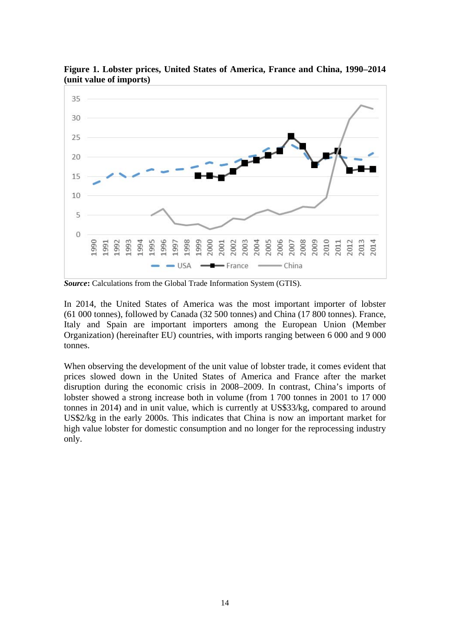

**Figure 1. Lobster prices, United States of America, France and China, 1990–2014 (unit value of imports)** 

**Source:** Calculations from the Global Trade Information System (GTIS).

In 2014, the United States of America was the most important importer of lobster (61 000 tonnes), followed by Canada (32 500 tonnes) and China (17 800 tonnes). France, Italy and Spain are important importers among the European Union (Member Organization) (hereinafter EU) countries, with imports ranging between 6 000 and 9 000 tonnes.

When observing the development of the unit value of lobster trade, it comes evident that prices slowed down in the United States of America and France after the market disruption during the economic crisis in 2008–2009. In contrast, China's imports of lobster showed a strong increase both in volume (from 1 700 tonnes in 2001 to 17 000 tonnes in 2014) and in unit value, which is currently at US\$33/kg, compared to around US\$2/kg in the early 2000s. This indicates that China is now an important market for high value lobster for domestic consumption and no longer for the reprocessing industry only.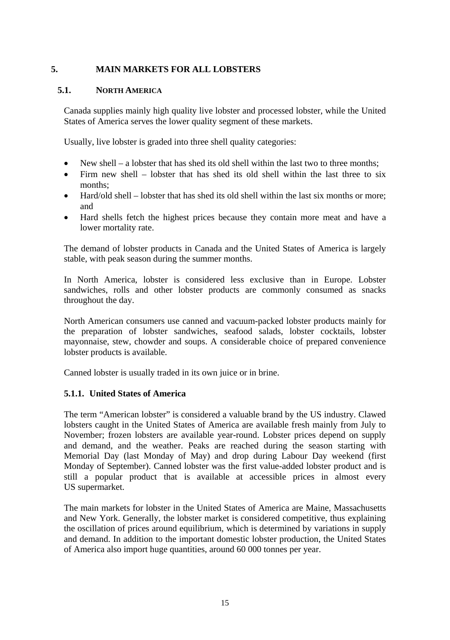#### **5. MAIN MARKETS FOR ALL LOBSTERS**

#### **5.1. NORTH AMERICA**

Canada supplies mainly high quality live lobster and processed lobster, while the United States of America serves the lower quality segment of these markets.

Usually, live lobster is graded into three shell quality categories:

- New shell a lobster that has shed its old shell within the last two to three months;
- Firm new shell lobster that has shed its old shell within the last three to six months;
- Hard/old shell lobster that has shed its old shell within the last six months or more; and
- Hard shells fetch the highest prices because they contain more meat and have a lower mortality rate.

The demand of lobster products in Canada and the United States of America is largely stable, with peak season during the summer months.

In North America, lobster is considered less exclusive than in Europe. Lobster sandwiches, rolls and other lobster products are commonly consumed as snacks throughout the day.

North American consumers use canned and vacuum-packed lobster products mainly for the preparation of lobster sandwiches, seafood salads, lobster cocktails, lobster mayonnaise, stew, chowder and soups. A considerable choice of prepared convenience lobster products is available.

Canned lobster is usually traded in its own juice or in brine.

#### **5.1.1. United States of America**

The term "American lobster" is considered a valuable brand by the US industry. Clawed lobsters caught in the United States of America are available fresh mainly from July to November; frozen lobsters are available year-round. Lobster prices depend on supply and demand, and the weather. Peaks are reached during the season starting with Memorial Day (last Monday of May) and drop during Labour Day weekend (first Monday of September). Canned lobster was the first value-added lobster product and is still a popular product that is available at accessible prices in almost every US supermarket.

The main markets for lobster in the United States of America are Maine, Massachusetts and New York. Generally, the lobster market is considered competitive, thus explaining the oscillation of prices around equilibrium, which is determined by variations in supply and demand. In addition to the important domestic lobster production, the United States of America also import huge quantities, around 60 000 tonnes per year.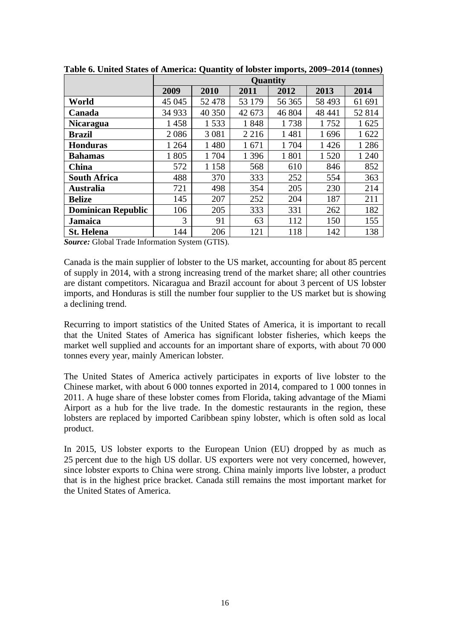|                           |         |         |         | <b>Ouantity</b> |         |         |
|---------------------------|---------|---------|---------|-----------------|---------|---------|
|                           | 2009    | 2010    | 2011    | 2012            | 2013    | 2014    |
| World                     | 45 045  | 52478   | 53 179  | 56 365          | 58 4 93 | 61 691  |
| Canada                    | 34 9 33 | 40 350  | 42 673  | 46 804          | 48 441  | 52 814  |
| <b>Nicaragua</b>          | 1458    | 1533    | 1848    | 1738            | 1752    | 1625    |
| Brazil                    | 2086    | 3 0 8 1 | 2 2 1 6 | 1481            | 1696    | 1622    |
| <b>Honduras</b>           | 1 2 6 4 | 1480    | 1671    | 1 704           | 1426    | 1 2 8 6 |
| <b>Bahamas</b>            | 1805    | 1 704   | 1 3 9 6 | 1801            | 1 5 2 0 | 1 2 4 0 |
| <b>China</b>              | 572     | 1 1 5 8 | 568     | 610             | 846     | 852     |
| <b>South Africa</b>       | 488     | 370     | 333     | 252             | 554     | 363     |
| Australia                 | 721     | 498     | 354     | 205             | 230     | 214     |
| <b>Belize</b>             | 145     | 207     | 252     | 204             | 187     | 211     |
| <b>Dominican Republic</b> | 106     | 205     | 333     | 331             | 262     | 182     |
| Jamaica                   | 3       | 91      | 63      | 112             | 150     | 155     |
| <b>St. Helena</b>         | 144     | 206     | 121     | 118             | 142     | 138     |

**Table 6. United States of America: Quantity of lobster imports, 2009–2014 (tonnes)** 

*Source:* Global Trade Information System (GTIS).

Canada is the main supplier of lobster to the US market, accounting for about 85 percent of supply in 2014, with a strong increasing trend of the market share; all other countries are distant competitors. Nicaragua and Brazil account for about 3 percent of US lobster imports, and Honduras is still the number four supplier to the US market but is showing a declining trend.

Recurring to import statistics of the United States of America, it is important to recall that the United States of America has significant lobster fisheries, which keeps the market well supplied and accounts for an important share of exports, with about 70 000 tonnes every year, mainly American lobster*.* 

The United States of America actively participates in exports of live lobster to the Chinese market, with about 6 000 tonnes exported in 2014, compared to 1 000 tonnes in 2011. A huge share of these lobster comes from Florida, taking advantage of the Miami Airport as a hub for the live trade. In the domestic restaurants in the region, these lobsters are replaced by imported Caribbean spiny lobster, which is often sold as local product.

In 2015, US lobster exports to the European Union (EU) dropped by as much as 25 percent due to the high US dollar. US exporters were not very concerned, however, since lobster exports to China were strong. China mainly imports live lobster, a product that is in the highest price bracket. Canada still remains the most important market for the United States of America.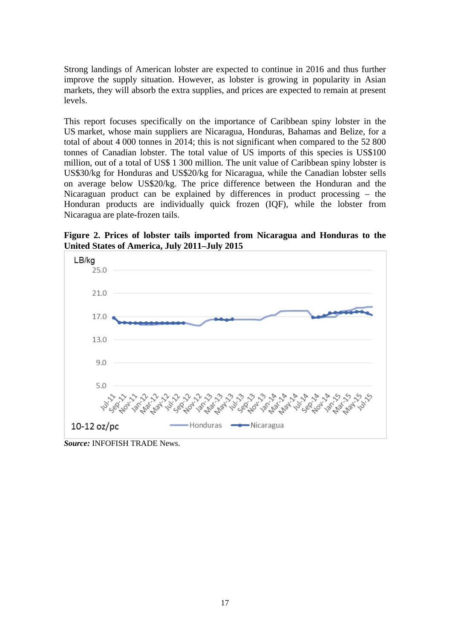Strong landings of American lobster are expected to continue in 2016 and thus further improve the supply situation. However, as lobster is growing in popularity in Asian markets, they will absorb the extra supplies, and prices are expected to remain at present levels.

This report focuses specifically on the importance of Caribbean spiny lobster in the US market, whose main suppliers are Nicaragua, Honduras, Bahamas and Belize, for a total of about 4 000 tonnes in 2014; this is not significant when compared to the 52 800 tonnes of Canadian lobster. The total value of US imports of this species is US\$100 million, out of a total of US\$ 1 300 million. The unit value of Caribbean spiny lobster is US\$30/kg for Honduras and US\$20/kg for Nicaragua, while the Canadian lobster sells on average below US\$20/kg. The price difference between the Honduran and the Nicaraguan product can be explained by differences in product processing – the Honduran products are individually quick frozen (IQF), while the lobster from Nicaragua are plate-frozen tails.

**Figure 2. Prices of lobster tails imported from Nicaragua and Honduras to the United States of America, July 2011–July 2015** 



*Source:* INFOFISH TRADE News.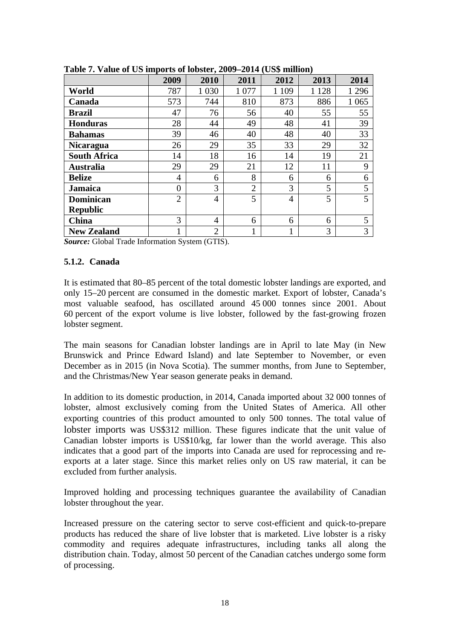|                     | 2009           | 2010           | 2011           | 2012           | 2013    | 2014    |
|---------------------|----------------|----------------|----------------|----------------|---------|---------|
| World               | 787            | 1 0 3 0        | 1 0 7 7        | 1 1 0 9        | 1 1 2 8 | 1 2 9 6 |
| Canada              | 573            | 744            | 810            | 873            | 886     | 1 0 6 5 |
| <b>Brazil</b>       | 47             | 76             | 56             | 40             | 55      | 55      |
| <b>Honduras</b>     | 28             | 44             | 49             | 48             | 41      | 39      |
| <b>Bahamas</b>      | 39             | 46             | 40             | 48             | 40      | 33      |
| <b>Nicaragua</b>    | 26             | 29             | 35             | 33             | 29      | 32      |
| <b>South Africa</b> | 14             | 18             | 16             | 14             | 19      | 21      |
| Australia           | 29             | 29             | 21             | 12             | 11      | 9       |
| <b>Belize</b>       | 4              | 6              | 8              | 6              | 6       | 6       |
| <b>Jamaica</b>      | $\theta$       | 3              | $\overline{2}$ | 3              | 5       | 5       |
| <b>Dominican</b>    | $\overline{2}$ | $\overline{4}$ | 5              | $\overline{4}$ | 5       | 5       |
| <b>Republic</b>     |                |                |                |                |         |         |
| China               | 3              | 4              | 6              | 6              | 6       | 5       |
| <b>New Zealand</b>  |                | $\overline{2}$ |                |                | 3       | 3       |

**Table 7. Value of US imports of lobster, 2009–2014 (US\$ million)** 

*Source:* Global Trade Information System (GTIS).

#### **5.1.2. Canada**

It is estimated that 80–85 percent of the total domestic lobster landings are exported, and only 15–20 percent are consumed in the domestic market. Export of lobster, Canada's most valuable seafood, has oscillated around 45 000 tonnes since 2001. About 60 percent of the export volume is live lobster, followed by the fast-growing frozen lobster segment.

The main seasons for Canadian lobster landings are in April to late May (in New Brunswick and Prince Edward Island) and late September to November, or even December as in 2015 (in Nova Scotia). The summer months, from June to September, and the Christmas/New Year season generate peaks in demand.

In addition to its domestic production, in 2014, Canada imported about 32 000 tonnes of lobster, almost exclusively coming from the United States of America. All other exporting countries of this product amounted to only 500 tonnes. The total value of lobster imports was US\$312 million. These figures indicate that the unit value of Canadian lobster imports is US\$10/kg, far lower than the world average. This also indicates that a good part of the imports into Canada are used for reprocessing and reexports at a later stage. Since this market relies only on US raw material, it can be excluded from further analysis.

Improved holding and processing techniques guarantee the availability of Canadian lobster throughout the year.

Increased pressure on the catering sector to serve cost-efficient and quick-to-prepare products has reduced the share of live lobster that is marketed. Live lobster is a risky commodity and requires adequate infrastructures, including tanks all along the distribution chain. Today, almost 50 percent of the Canadian catches undergo some form of processing.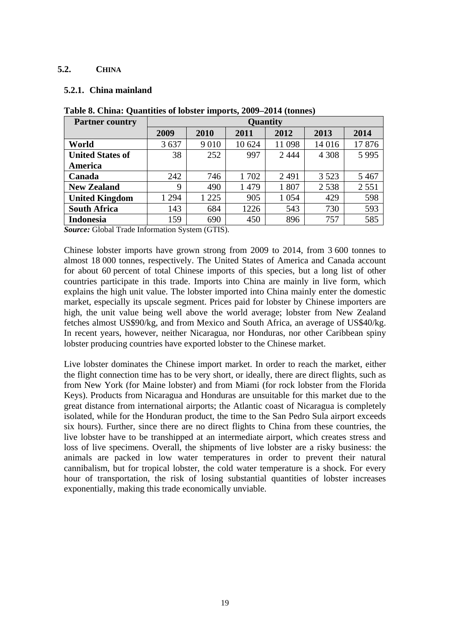#### **5.2. CHINA**

#### **5.2.1. China mainland**

| <b>Partner country</b>  |         |         |        | Ouantity |         |         |
|-------------------------|---------|---------|--------|----------|---------|---------|
|                         | 2009    | 2010    | 2011   | 2012     | 2013    | 2014    |
| World                   | 3637    | 9 0 1 0 | 10 624 | 11 098   | 14 016  | 17876   |
| <b>United States of</b> | 38      | 252     | 997    | 2444     | 4 3 0 8 | 5995    |
| America                 |         |         |        |          |         |         |
| Canada                  | 242     | 746     | 1702   | 2491     | 3 5 2 3 | 5467    |
| <b>New Zealand</b>      | 9       | 490     | 1479   | 1807     | 2538    | 2 5 5 1 |
| <b>United Kingdom</b>   | 1 2 9 4 | 1 2 2 5 | 905    | 1 0 5 4  | 429     | 598     |
| <b>South Africa</b>     | 143     | 684     | 1226   | 543      | 730     | 593     |
| Indonesia               | 159     | 690     | 450    | 896      | 757     | 585     |

**Table 8. China: Quantities of lobster imports, 2009–2014 (tonnes)** 

*Source:* Global Trade Information System (GTIS).

Chinese lobster imports have grown strong from 2009 to 2014, from 3 600 tonnes to almost 18 000 tonnes, respectively. The United States of America and Canada account for about 60 percent of total Chinese imports of this species, but a long list of other countries participate in this trade. Imports into China are mainly in live form, which explains the high unit value. The lobster imported into China mainly enter the domestic market, especially its upscale segment. Prices paid for lobster by Chinese importers are high, the unit value being well above the world average; lobster from New Zealand fetches almost US\$90/kg, and from Mexico and South Africa, an average of US\$40/kg. In recent years, however, neither Nicaragua, nor Honduras, nor other Caribbean spiny lobster producing countries have exported lobster to the Chinese market.

Live lobster dominates the Chinese import market. In order to reach the market, either the flight connection time has to be very short, or ideally, there are direct flights, such as from New York (for Maine lobster) and from Miami (for rock lobster from the Florida Keys). Products from Nicaragua and Honduras are unsuitable for this market due to the great distance from international airports; the Atlantic coast of Nicaragua is completely isolated, while for the Honduran product, the time to the San Pedro Sula airport exceeds six hours). Further, since there are no direct flights to China from these countries, the live lobster have to be transhipped at an intermediate airport, which creates stress and loss of live specimens. Overall, the shipments of live lobster are a risky business: the animals are packed in low water temperatures in order to prevent their natural cannibalism, but for tropical lobster, the cold water temperature is a shock. For every hour of transportation, the risk of losing substantial quantities of lobster increases exponentially, making this trade economically unviable.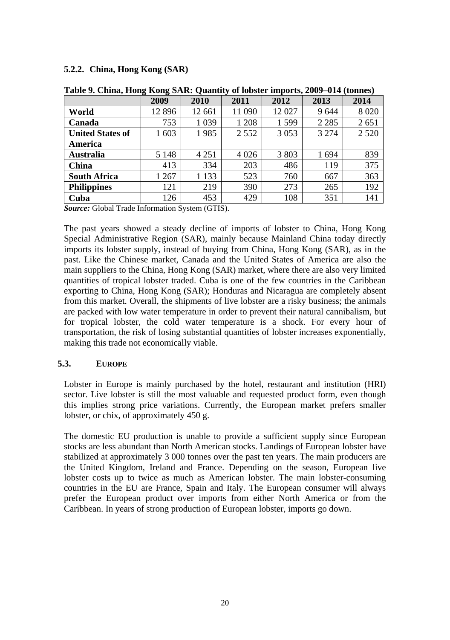#### **5.2.2. China, Hong Kong (SAR)**

|                         | -<br>-<br>2009 | ÷<br>2010 | $\sim$<br>2011 | 2012    | 2013    | 2014    |
|-------------------------|----------------|-----------|----------------|---------|---------|---------|
| World                   | 12896          | 12 661    | 11 090         | 12027   | 9644    | 8 0 20  |
| Canada                  | 753            | 1 0 3 9   | 1 2 0 8        | 1599    | 2 2 8 5 | 2651    |
| <b>United States of</b> | 1 603          | 1985      | 2 5 5 2        | 3 0 5 3 | 3 2 7 4 | 2 5 2 0 |
| America                 |                |           |                |         |         |         |
| <b>Australia</b>        | 5 1 4 8        | 4 2 5 1   | 4 0 2 6        | 3 803   | 1694    | 839     |
| <b>China</b>            | 413            | 334       | 203            | 486     | 119     | 375     |
| <b>South Africa</b>     | 1 2 6 7        | 1 1 3 3   | 523            | 760     | 667     | 363     |
| <b>Philippines</b>      | 121            | 219       | 390            | 273     | 265     | 192     |
| Cuba                    | 126            | 453       | 429            | 108     | 351     | 141     |

**Table 9. China, Hong Kong SAR: Quantity of lobster imports, 2009–014 (tonnes)** 

*Source:* Global Trade Information System (GTIS).

The past years showed a steady decline of imports of lobster to China, Hong Kong Special Administrative Region (SAR), mainly because Mainland China today directly imports its lobster supply, instead of buying from China, Hong Kong (SAR), as in the past. Like the Chinese market, Canada and the United States of America are also the main suppliers to the China, Hong Kong (SAR) market, where there are also very limited quantities of tropical lobster traded. Cuba is one of the few countries in the Caribbean exporting to China, Hong Kong (SAR); Honduras and Nicaragua are completely absent from this market. Overall, the shipments of live lobster are a risky business; the animals are packed with low water temperature in order to prevent their natural cannibalism, but for tropical lobster, the cold water temperature is a shock. For every hour of transportation, the risk of losing substantial quantities of lobster increases exponentially, making this trade not economically viable.

#### **5.3. EUROPE**

Lobster in Europe is mainly purchased by the hotel, restaurant and institution (HRI) sector. Live lobster is still the most valuable and requested product form, even though this implies strong price variations. Currently, the European market prefers smaller lobster, or chix, of approximately 450 g.

The domestic EU production is unable to provide a sufficient supply since European stocks are less abundant than North American stocks. Landings of European lobster have stabilized at approximately 3 000 tonnes over the past ten years. The main producers are the United Kingdom, Ireland and France. Depending on the season, European live lobster costs up to twice as much as American lobster. The main lobster-consuming countries in the EU are France, Spain and Italy. The European consumer will always prefer the European product over imports from either North America or from the Caribbean. In years of strong production of European lobster, imports go down.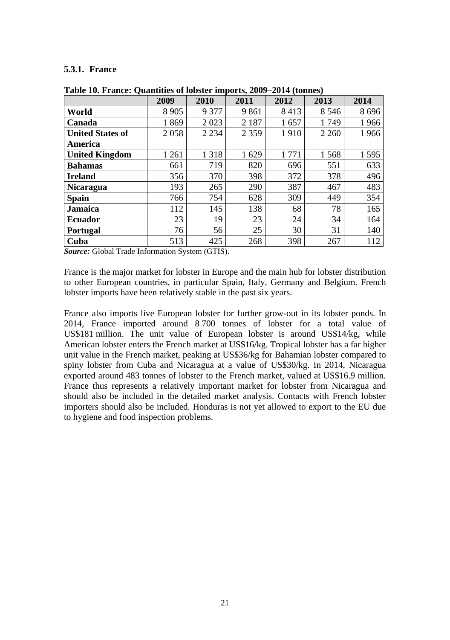#### **5.3.1. France**

|                         | 2009    | 2010    | 2011    | 2012  | 2013    | 2014 |
|-------------------------|---------|---------|---------|-------|---------|------|
| World                   | 8 9 0 5 | 9 3 7 7 | 9861    | 8413  | 8 5 4 6 | 8696 |
| Canada                  | 1869    | 2023    | 2 1 8 7 | 1657  | 1749    | 1966 |
| <b>United States of</b> | 2058    | 2 2 3 4 | 2 3 5 9 | 1910  | 2 2 6 0 | 1966 |
| America                 |         |         |         |       |         |      |
| <b>United Kingdom</b>   | 1 2 6 1 | 1 3 1 8 | 1629    | 1 771 | 1568    | 1595 |
| <b>Bahamas</b>          | 661     | 719     | 820     | 696   | 551     | 633  |
| <b>Ireland</b>          | 356     | 370     | 398     | 372   | 378     | 496  |
| <b>Nicaragua</b>        | 193     | 265     | 290     | 387   | 467     | 483  |
| <b>Spain</b>            | 766     | 754     | 628     | 309   | 449     | 354  |
| <b>Jamaica</b>          | 112     | 145     | 138     | 68    | 78      | 165  |
| <b>Ecuador</b>          | 23      | 19      | 23      | 24    | 34      | 164  |
| Portugal                | 76      | 56      | 25      | 30    | 31      | 140  |
| Cuba                    | 513     | 425     | 268     | 398   | 267     | 112  |

**Table 10. France: Quantities of lobster imports, 2009–2014 (tonnes)** 

*Source:* Global Trade Information System (GTIS).

France is the major market for lobster in Europe and the main hub for lobster distribution to other European countries, in particular Spain, Italy, Germany and Belgium. French lobster imports have been relatively stable in the past six years.

France also imports live European lobster for further grow-out in its lobster ponds. In 2014, France imported around 8 700 tonnes of lobster for a total value of US\$181 million. The unit value of European lobster is around US\$14/kg, while American lobster enters the French market at US\$16/kg. Tropical lobster has a far higher unit value in the French market, peaking at US\$36/kg for Bahamian lobster compared to spiny lobster from Cuba and Nicaragua at a value of US\$30/kg. In 2014, Nicaragua exported around 483 tonnes of lobster to the French market, valued at US\$16.9 million. France thus represents a relatively important market for lobster from Nicaragua and should also be included in the detailed market analysis. Contacts with French lobster importers should also be included. Honduras is not yet allowed to export to the EU due to hygiene and food inspection problems.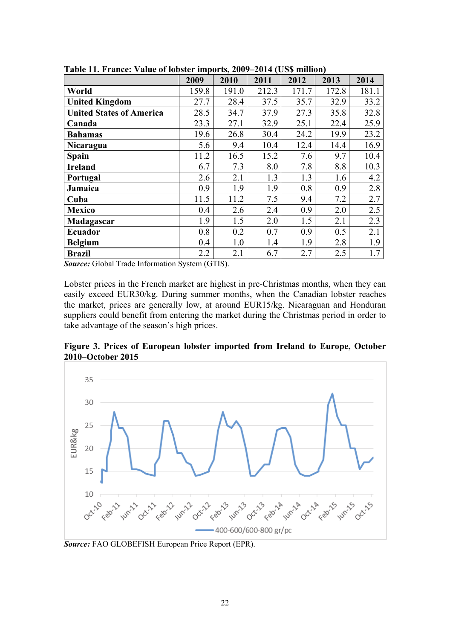|                                 | 2009  | 2010  | 2011  | 2012  | 2013  | 2014  |
|---------------------------------|-------|-------|-------|-------|-------|-------|
| World                           | 159.8 | 191.0 | 212.3 | 171.7 | 172.8 | 181.1 |
| <b>United Kingdom</b>           | 27.7  | 28.4  | 37.5  | 35.7  | 32.9  | 33.2  |
| <b>United States of America</b> | 28.5  | 34.7  | 37.9  | 27.3  | 35.8  | 32.8  |
| Canada                          | 23.3  | 27.1  | 32.9  | 25.1  | 22.4  | 25.9  |
| <b>Bahamas</b>                  | 19.6  | 26.8  | 30.4  | 24.2  | 19.9  | 23.2  |
| Nicaragua                       | 5.6   | 9.4   | 10.4  | 12.4  | 14.4  | 16.9  |
| Spain                           | 11.2  | 16.5  | 15.2  | 7.6   | 9.7   | 10.4  |
| <b>Ireland</b>                  | 6.7   | 7.3   | 8.0   | 7.8   | 8.8   | 10.3  |
| Portugal                        | 2.6   | 2.1   | 1.3   | 1.3   | 1.6   | 4.2   |
| Jamaica                         | 0.9   | 1.9   | 1.9   | 0.8   | 0.9   | 2.8   |
| Cuba                            | 11.5  | 11.2  | 7.5   | 9.4   | 7.2   | 2.7   |
| <b>Mexico</b>                   | 0.4   | 2.6   | 2.4   | 0.9   | 2.0   | 2.5   |
| Madagascar                      | 1.9   | 1.5   | 2.0   | 1.5   | 2.1   | 2.3   |
| Ecuador                         | 0.8   | 0.2   | 0.7   | 0.9   | 0.5   | 2.1   |
| <b>Belgium</b>                  | 0.4   | 1.0   | 1.4   | 1.9   | 2.8   | 1.9   |
| <b>Brazil</b>                   | 2.2   | 2.1   | 6.7   | 2.7   | 2.5   | 1.7   |

**Table 11. France: Value of lobster imports, 2009–2014 (US\$ million)** 

*Source:* Global Trade Information System (GTIS).

Lobster prices in the French market are highest in pre-Christmas months, when they can easily exceed EUR30/kg. During summer months, when the Canadian lobster reaches the market, prices are generally low, at around EUR15/kg. Nicaraguan and Honduran suppliers could benefit from entering the market during the Christmas period in order to take advantage of the season's high prices.

**Figure 3. Prices of European lobster imported from Ireland to Europe, October 2010–October 2015** 



*Source:* FAO GLOBEFISH European Price Report (EPR).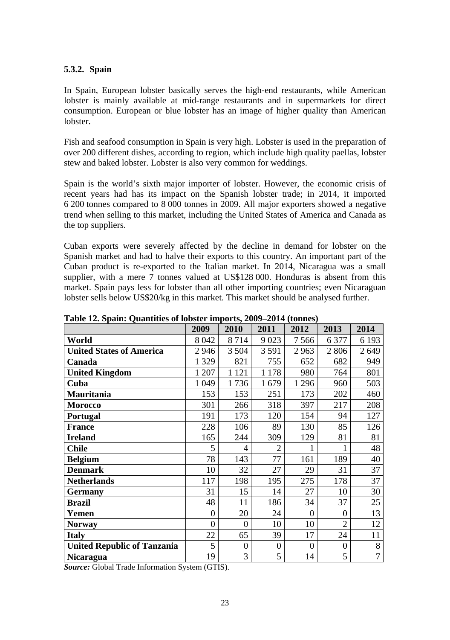#### **5.3.2. Spain**

In Spain, European lobster basically serves the high-end restaurants, while American lobster is mainly available at mid-range restaurants and in supermarkets for direct consumption. European or blue lobster has an image of higher quality than American lobster.

Fish and seafood consumption in Spain is very high. Lobster is used in the preparation of over 200 different dishes, according to region, which include high quality paellas, lobster stew and baked lobster. Lobster is also very common for weddings.

Spain is the world's sixth major importer of lobster. However, the economic crisis of recent years had has its impact on the Spanish lobster trade; in 2014, it imported 6 200 tonnes compared to 8 000 tonnes in 2009. All major exporters showed a negative trend when selling to this market, including the United States of America and Canada as the top suppliers.

Cuban exports were severely affected by the decline in demand for lobster on the Spanish market and had to halve their exports to this country. An important part of the Cuban product is re-exported to the Italian market. In 2014, Nicaragua was a small supplier, with a mere 7 tonnes valued at US\$128 000. Honduras is absent from this market. Spain pays less for lobster than all other importing countries; even Nicaraguan lobster sells below US\$20/kg in this market. This market should be analysed further.

|                                    | 2009     | 2010           | 2011             | 2012         | 2013           | 2014           |
|------------------------------------|----------|----------------|------------------|--------------|----------------|----------------|
| World                              | 8 0 4 2  | 8714           | 9 0 23           | 7566         | 6377           | 6 1 9 3        |
| <b>United States of America</b>    | 2946     | 3 5 0 4        | 3591             | 2963         | 2806           | 2649           |
| Canada                             | 1 3 2 9  | 821            | 755              | 652          | 682            | 949            |
| <b>United Kingdom</b>              | 1 207    | 1 1 2 1        | 1 1 7 8          | 980          | 764            | 801            |
| Cuba                               | 1 0 4 9  | 1736           | 1679             | 1 2 9 6      | 960            | 503            |
| Mauritania                         | 153      | 153            | 251              | 173          | 202            | 460            |
| <b>Morocco</b>                     | 301      | 266            | 318              | 397          | 217            | 208            |
| Portugal                           | 191      | 173            | 120              | 154          | 94             | 127            |
| <b>France</b>                      | 228      | 106            | 89               | 130          | 85             | 126            |
| <b>Ireland</b>                     | 165      | 244            | 309              | 129          | 81             | 81             |
| <b>Chile</b>                       | 5        | 4              | $\overline{2}$   | 1            |                | 48             |
| <b>Belgium</b>                     | 78       | 143            | 77               | 161          | 189            | 40             |
| <b>Denmark</b>                     | 10       | 32             | 27               | 29           | 31             | 37             |
| <b>Netherlands</b>                 | 117      | 198            | 195              | 275          | 178            | 37             |
| <b>Germany</b>                     | 31       | 15             | 14               | 27           | 10             | 30             |
| <b>Brazil</b>                      | 48       | 11             | 186              | 34           | 37             | 25             |
| Yemen                              | $\theta$ | 20             | 24               | $\theta$     | $\theta$       | 13             |
| <b>Norway</b>                      | $\theta$ | $\theta$       | 10               | 10           | $\overline{2}$ | 12             |
| <b>Italy</b>                       | 22       | 65             | 39               | 17           | 24             | 11             |
| <b>United Republic of Tanzania</b> | 5        | $\overline{0}$ | $\boldsymbol{0}$ | $\mathbf{0}$ | $\theta$       | 8              |
| <b>Nicaragua</b>                   | 19       | 3              | 5                | 14           | 5              | $\overline{7}$ |

**Table 12. Spain: Quantities of lobster imports, 2009–2014 (tonnes)** 

*Source:* Global Trade Information System (GTIS).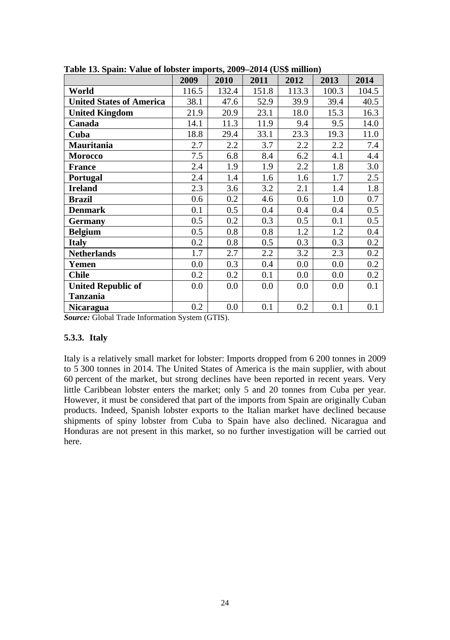|                                 | 2009  | 2010  | 2011  | 2012  | 2013  | 2014  |
|---------------------------------|-------|-------|-------|-------|-------|-------|
| World                           | 116.5 | 132.4 | 151.8 | 113.3 | 100.3 | 104.5 |
| <b>United States of America</b> | 38.1  | 47.6  | 52.9  | 39.9  | 39.4  | 40.5  |
| <b>United Kingdom</b>           | 21.9  | 20.9  | 23.1  | 18.0  | 15.3  | 16.3  |
| Canada                          | 14.1  | 11.3  | 11.9  | 9.4   | 9.5   | 14.0  |
| Cuba                            | 18.8  | 29.4  | 33.1  | 23.3  | 19.3  | 11.0  |
| Mauritania                      | 2.7   | 2.2   | 3.7   | 2.2   | 2.2   | 7.4   |
| <b>Morocco</b>                  | 7.5   | 6.8   | 8.4   | 6.2   | 4.1   | 4.4   |
| <b>France</b>                   | 2.4   | 1.9   | 1.9   | 2.2   | 1.8   | 3.0   |
| Portugal                        | 2.4   | 1.4   | 1.6   | 1.6   | 1.7   | 2.5   |
| <b>Ireland</b>                  | 2.3   | 3.6   | 3.2   | 2.1   | 1.4   | 1.8   |
| Brazil                          | 0.6   | 0.2   | 4.6   | 0.6   | 1.0   | 0.7   |
| <b>Denmark</b>                  | 0.1   | 0.5   | 0.4   | 0.4   | 0.4   | 0.5   |
| <b>Germany</b>                  | 0.5   | 0.2   | 0.3   | 0.5   | 0.1   | 0.5   |
| <b>Belgium</b>                  | 0.5   | 0.8   | 0.8   | 1.2   | 1.2   | 0.4   |
| <b>Italy</b>                    | 0.2   | 0.8   | 0.5   | 0.3   | 0.3   | 0.2   |
| <b>Netherlands</b>              | 1.7   | 2.7   | 2.2   | 3.2   | 2.3   | 0.2   |
| Yemen                           | 0.0   | 0.3   | 0.4   | 0.0   | 0.0   | 0.2   |
| <b>Chile</b>                    | 0.2   | 0.2   | 0.1   | 0.0   | 0.0   | 0.2   |
| <b>United Republic of</b>       | 0.0   | 0.0   | 0.0   | 0.0   | 0.0   | 0.1   |
| <b>Tanzania</b>                 |       |       |       |       |       |       |
| <b>Nicaragua</b>                | 0.2   | 0.0   | 0.1   | 0.2   | 0.1   | 0.1   |

**Table 13. Spain: Value of lobster imports, 2009–2014 (US\$ million)** 

*Source:* Global Trade Information System (GTIS).

#### **5.3.3. Italy**

Italy is a relatively small market for lobster: Imports dropped from 6 200 tonnes in 2009 to 5 300 tonnes in 2014. The United States of America is the main supplier, with about 60 percent of the market, but strong declines have been reported in recent years. Very little Caribbean lobster enters the market; only 5 and 20 tonnes from Cuba per year. However, it must be considered that part of the imports from Spain are originally Cuban products. Indeed, Spanish lobster exports to the Italian market have declined because shipments of spiny lobster from Cuba to Spain have also declined. Nicaragua and Honduras are not present in this market, so no further investigation will be carried out here.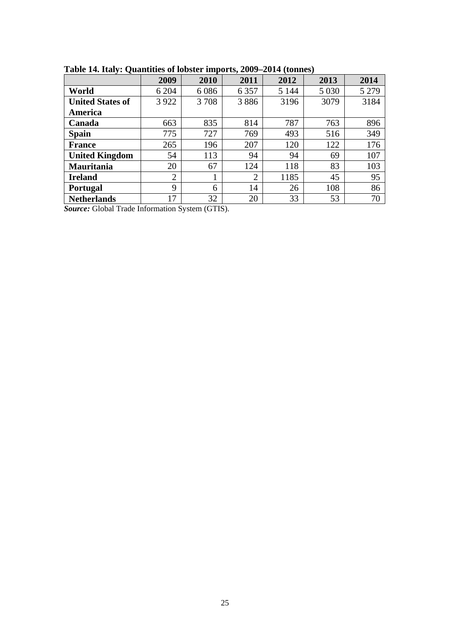| ∼                       | 2009           | 2010 | 2011           | 2012    | 2013    | 2014    |
|-------------------------|----------------|------|----------------|---------|---------|---------|
| World                   | 6 204          | 6086 | 6 3 5 7        | 5 1 4 4 | 5 0 3 0 | 5 2 7 9 |
| <b>United States of</b> | 3 9 2 2        | 3708 | 3886           | 3196    | 3079    | 3184    |
| America                 |                |      |                |         |         |         |
| Canada                  | 663            | 835  | 814            | 787     | 763     | 896     |
| <b>Spain</b>            | 775            | 727  | 769            | 493     | 516     | 349     |
| <b>France</b>           | 265            | 196  | 207            | 120     | 122     | 176     |
| <b>United Kingdom</b>   | 54             | 113  | 94             | 94      | 69      | 107     |
| <b>Mauritania</b>       | 20             | 67   | 124            | 118     | 83      | 103     |
| <b>Ireland</b>          | $\overline{2}$ |      | $\overline{2}$ | 1185    | 45      | 95      |
| <b>Portugal</b>         | 9              | 6    | 14             | 26      | 108     | 86      |
| <b>Netherlands</b>      | 17             | 32   | 20             | 33      | 53      | 70      |

**Table 14. Italy: Quantities of lobster imports, 2009–2014 (tonnes)** 

*Source:* Global Trade Information System (GTIS).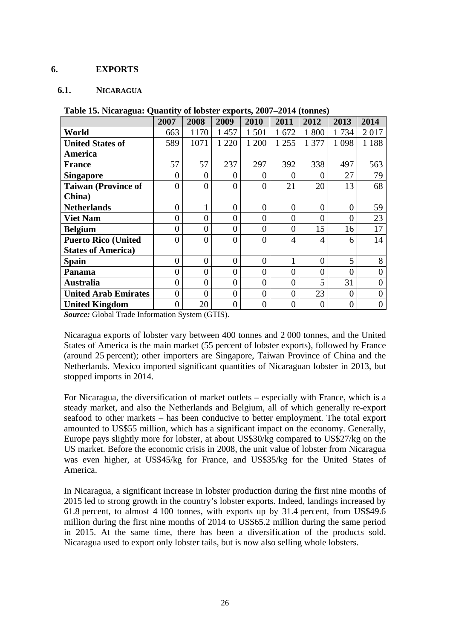#### **6. EXPORTS**

#### **6.1. NICARAGUA**

|                             | 2007           | 2008     | 2009     | 2010     | 2011     | 2012     | 2013     | 2014     |
|-----------------------------|----------------|----------|----------|----------|----------|----------|----------|----------|
| World                       | 663            | 1170     | 1457     | 1 5 0 1  | 1672     | 1 800    | 1734     | 2017     |
| <b>United States of</b>     | 589            | 1071     | 1 2 2 0  | 1 200    | 1 2 5 5  | 1 377    | 1 0 9 8  | 1 1 8 8  |
| America                     |                |          |          |          |          |          |          |          |
| <b>France</b>               | 57             | 57       | 237      | 297      | 392      | 338      | 497      | 563      |
| <b>Singapore</b>            | 0              | 0        | 0        | 0        | 0        | 0        | 27       | 79       |
| <b>Taiwan (Province of</b>  | 0              | $\Omega$ | $\theta$ | 0        | 21       | 20       | 13       | 68       |
| China)                      |                |          |          |          |          |          |          |          |
| <b>Netherlands</b>          | $\Omega$       |          | $\theta$ | $\theta$ | $\Omega$ | $\Omega$ | $\theta$ | 59       |
| <b>Viet Nam</b>             | 0              | 0        | 0        | 0        | 0        | $\theta$ | 0        | 23       |
| <b>Belgium</b>              | 0              | $\theta$ | $\theta$ | 0        | $\theta$ | 15       | 16       | 17       |
| <b>Puerto Rico (United</b>  | 0              | $\Omega$ | $\theta$ | $\theta$ | 4        | 4        | 6        | 14       |
| <b>States of America</b> )  |                |          |          |          |          |          |          |          |
| Spain                       | $\Omega$       | $\Omega$ | $\theta$ | $\Omega$ |          | $\theta$ | 5        | 8        |
| Panama                      | 0              | $\Omega$ | $\theta$ | $\theta$ | $\Omega$ | $\theta$ | 0        | 0        |
| <b>Australia</b>            | $\Omega$       | $\theta$ | $\theta$ | $\theta$ | $\Omega$ | 5        | 31       |          |
| <b>United Arab Emirates</b> | $\overline{0}$ | $\Omega$ | $\theta$ | 0        | $\Omega$ | 23       | $\Omega$ | $\Omega$ |
| <b>United Kingdom</b>       | 0              | 20       | $\Omega$ | 0        | $\Omega$ | $\Omega$ | 0        | $\theta$ |

| Table 15. Nicaragua: Quantity of lobster exports, 2007–2014 (tonnes) |  |
|----------------------------------------------------------------------|--|
|----------------------------------------------------------------------|--|

*Source:* Global Trade Information System (GTIS).

Nicaragua exports of lobster vary between 400 tonnes and 2 000 tonnes, and the United States of America is the main market (55 percent of lobster exports), followed by France (around 25 percent); other importers are Singapore, Taiwan Province of China and the Netherlands. Mexico imported significant quantities of Nicaraguan lobster in 2013, but stopped imports in 2014.

For Nicaragua, the diversification of market outlets – especially with France, which is a steady market, and also the Netherlands and Belgium, all of which generally re-export seafood to other markets – has been conducive to better employment. The total export amounted to US\$55 million, which has a significant impact on the economy. Generally, Europe pays slightly more for lobster, at about US\$30/kg compared to US\$27/kg on the US market. Before the economic crisis in 2008, the unit value of lobster from Nicaragua was even higher, at US\$45/kg for France, and US\$35/kg for the United States of America.

In Nicaragua, a significant increase in lobster production during the first nine months of 2015 led to strong growth in the country's lobster exports. Indeed, landings increased by 61.8 percent, to almost 4 100 tonnes, with exports up by 31.4 percent, from US\$49.6 million during the first nine months of 2014 to US\$65.2 million during the same period in 2015. At the same time, there has been a diversification of the products sold. Nicaragua used to export only lobster tails, but is now also selling whole lobsters.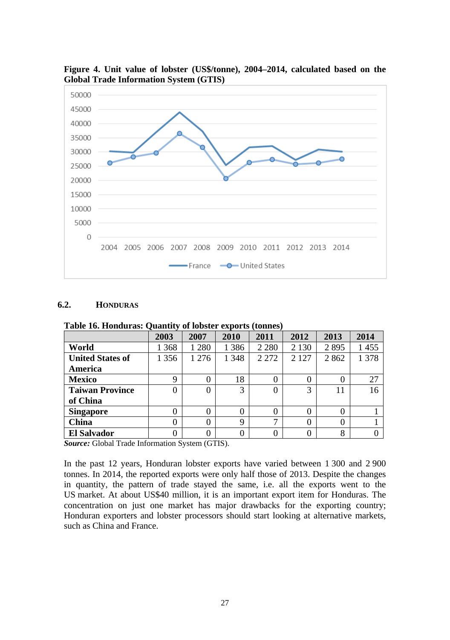

**Figure 4. Unit value of lobster (US\$/tonne), 2004–2014, calculated based on the Global Trade Information System (GTIS)** 

# **6.2. HONDURAS**

| Tuble for Holland and Quality of Toppet enpot to (configur |       |         |         |          |         |      |       |
|------------------------------------------------------------|-------|---------|---------|----------|---------|------|-------|
|                                                            | 2003  | 2007    | 2010    | 2011     | 2012    | 2013 | 2014  |
| World                                                      | 368   | 1 2 8 0 | 1 3 8 6 | 2 2 8 0  | 2 1 3 0 | 2895 | 1455  |
| <b>United States of</b>                                    | 1 356 | 1 2 7 6 | 1 3 4 8 | 2 2 7 2  | 2 1 2 7 | 2862 | 1 378 |
| America                                                    |       |         |         |          |         |      |       |
| <b>Mexico</b>                                              | 9     | 0       | 18      | 0        |         |      | 27    |
| <b>Taiwan Province</b>                                     | 0     | 0       | 3       | $\theta$ | 3       | 11   | 16    |
| of China                                                   |       |         |         |          |         |      |       |
| <b>Singapore</b>                                           | 0     | 0       | 0       | $\theta$ |         |      |       |
| China                                                      | 0     | 0       | 9       |          |         |      |       |
| <b>El Salvador</b>                                         | 0     | 0       | 0       | $\Omega$ |         | 8    |       |
|                                                            |       |         |         |          |         |      |       |

**Table 16. Honduras: Quantity of lobster exports (tonnes)** 

*Source:* Global Trade Information System (GTIS).

In the past 12 years, Honduran lobster exports have varied between 1 300 and 2 900 tonnes. In 2014, the reported exports were only half those of 2013. Despite the changes in quantity, the pattern of trade stayed the same, i.e. all the exports went to the US market. At about US\$40 million, it is an important export item for Honduras. The concentration on just one market has major drawbacks for the exporting country; Honduran exporters and lobster processors should start looking at alternative markets, such as China and France.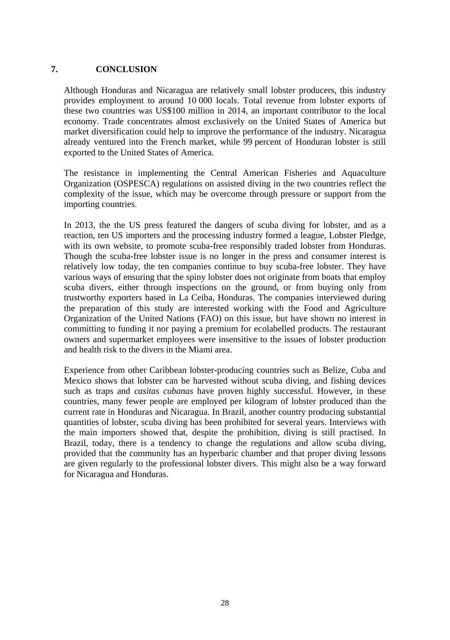#### **7. CONCLUSION**

Although Honduras and Nicaragua are relatively small lobster producers, this industry provides employment to around 10 000 locals. Total revenue from lobster exports of these two countries was US\$100 million in 2014, an important contributor to the local economy. Trade concentrates almost exclusively on the United States of America but market diversification could help to improve the performance of the industry. Nicaragua already ventured into the French market, while 99 percent of Honduran lobster is still exported to the United States of America.

The resistance in implementing the Central American Fisheries and Aquaculture Organization (OSPESCA) regulations on assisted diving in the two countries reflect the complexity of the issue, which may be overcome through pressure or support from the importing countries.

In 2013, the the US press featured the dangers of scuba diving for lobster, and as a reaction, ten US importers and the processing industry formed a league, Lobster Pledge, with its own website, to promote scuba-free responsibly traded lobster from Honduras. Though the scuba-free lobster issue is no longer in the press and consumer interest is relatively low today, the ten companies continue to buy scuba-free lobster. They have various ways of ensuring that the spiny lobster does not originate from boats that employ scuba divers, either through inspections on the ground, or from buying only from trustworthy exporters based in La Ceiba, Honduras. The companies interviewed during the preparation of this study are interested working with the Food and Agriculture Organization of the United Nations (FAO) on this issue, but have shown no interest in committing to funding it nor paying a premium for ecolabelled products. The restaurant owners and supermarket employees were insensitive to the issues of lobster production and health risk to the divers in the Miami area.

Experience from other Caribbean lobster-producing countries such as Belize, Cuba and Mexico shows that lobster can be harvested without scuba diving, and fishing devices such as traps and *casitas cubanas* have proven highly successful. However, in these countries, many fewer people are employed per kilogram of lobster produced than the current rate in Honduras and Nicaragua. In Brazil, another country producing substantial quantities of lobster, scuba diving has been prohibited for several years. Interviews with the main importers showed that, despite the prohibition, diving is still practised. In Brazil, today, there is a tendency to change the regulations and allow scuba diving, provided that the community has an hyperbaric chamber and that proper diving lessons are given regularly to the professional lobster divers. This might also be a way forward for Nicaragua and Honduras.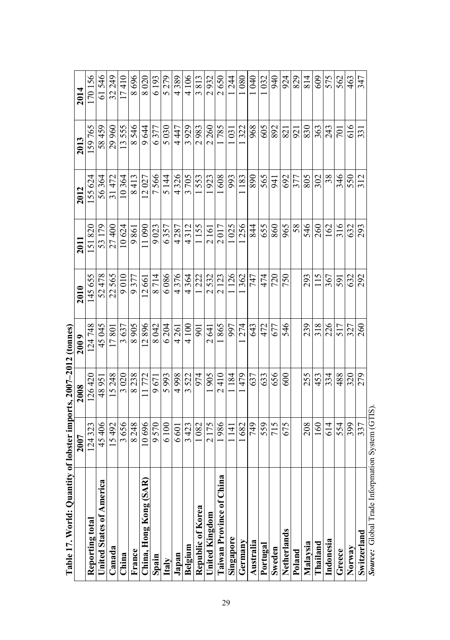| Table 17. World: Quantity       | of lobster imports, 2007-2012 (tonnes) |        |                                            |         |                 |        |                |                                 |
|---------------------------------|----------------------------------------|--------|--------------------------------------------|---------|-----------------|--------|----------------|---------------------------------|
|                                 | <b>2007</b>                            | 2008   | 2009                                       | 2010    | 2011            | 2012   | 2013           | 2014                            |
| Reporting total                 | 124323                                 | 126420 | 124748                                     | 145 655 | 151820          | 155624 | 159765         | 170156                          |
| United States of America        | 45406                                  | 48951  | 45045                                      | 52478   | 53 179          | 56364  | 58459          | 61546                           |
| Canada                          | 15492                                  | 15248  | 17801                                      | 22565   | 27400           | 31472  | 29 960         | 32249                           |
| China                           | 3656                                   | 3020   | 3637                                       | 9010    | 10624           | 10364  | 13555          | l7410                           |
| France                          | 8248                                   | 8238   | 8905                                       | 9377    | 9861            | 8413   | 8546           | 8696                            |
| China, Hong Kong (SAR)          | 0.696                                  | 11772  | 12896                                      | 12661   | 11090           | 12027  | 9644           | 8020                            |
| Spain                           | 9570                                   | 9671   | 8042                                       | 8714    | 9023            | 7566   | 6377           | 6193                            |
| Italy                           | 6100                                   | 5993   | 6204                                       | 6086    | 6357            | 5 144  | 5030           | 5279                            |
| Japan                           | 6 601                                  | 4998   | 4261                                       | 4376    | 4287            | 4326   | 4447           | 4389                            |
| Belgium                         | 3423                                   | 3522   | 4 100                                      | 4364    | 4312            | 3705   | 3929           | 4106                            |
| Republic of Korea               | 1082                                   | 974    | 901                                        | 1222    | 1155            | 553    | 2983           | 3813                            |
| United Kingdom                  | 2175                                   | 905    | $\overline{5}$<br>$\overline{\mathcal{C}}$ | 2532    | 2161            | 923    | 2 260          | 932<br>$\overline{\mathcal{C}}$ |
| <b>Taiwan Province of China</b> | 986                                    | 2410   | 1865                                       | 2123    | 2017            | 608    | 785            | 2650                            |
| Singapore                       | $\overline{4}$                         | 184    | 997                                        | 126     | 025             | 993    | $\overline{c}$ | 244                             |
| Germany                         | 682                                    | 479    | 274                                        | 362     | 256             | .183   | 322            | 080                             |
| Australia                       | 749                                    | 637    | 643                                        | 747     | 844             | 068    | 968            | 040                             |
| Portugal                        | 559                                    | 633    | 472                                        | 474     | $rac{655}{860}$ | 565    | 605            | 032                             |
| Sweden                          | 715                                    | 656    | 677                                        | 720     |                 | 941    | 892            | 940                             |
| Netherlands                     | 675                                    | 600    | 546                                        | 750     | 965             | 692    | <b>S21</b>     | 924                             |
| Poland                          |                                        |        |                                            |         | 58              | 377    | 921            | 829                             |
| Malaysia                        | 208                                    | 255    | 239                                        | 293     | 546             | 805    | 830            | 814                             |
| Thailand                        | 160                                    | 453    | 318                                        | 115     | 260             | 302    | 363            | 609                             |
| Indonesia                       | 614                                    | 334    | 226                                        | 367     | 162             | 38     | 243            | 575                             |
| Greece                          | 554                                    | 488    | 517                                        | 591     | 316             | 346    | 701            | 562                             |
| Norway                          | 399                                    | 320    | 327                                        | 632     | 632             | 550    | 616            | 463                             |
| Switzerland                     | 337                                    | 279    | 260                                        | 292     | 293             | 312    | 33             | 347                             |
| Source: Global Trade Inforpm    | ation System (GTIS)                    |        |                                            |         |                 |        |                |                                 |

29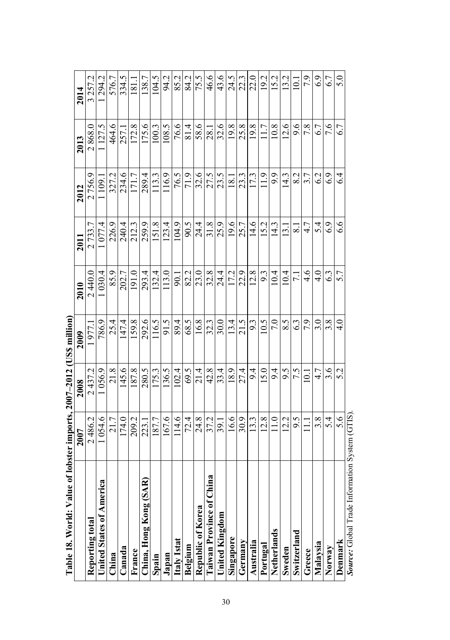| Table 18. World: Value of       | lobster imports, 2007-2012 (US\$ million) |                |               |                |               |                   |        |                  |
|---------------------------------|-------------------------------------------|----------------|---------------|----------------|---------------|-------------------|--------|------------------|
|                                 | 2007                                      | 2008           | 2009          | 2010           | 2011          | 2012              | 2013   | 2014             |
| Reporting total                 | 2486.2                                    | 2437.2         | 1977.1        | 2440.0         | 2733.         | 2756.9            | 2868.0 | 3 257.2          |
| United States of America        | 1054.6                                    | 1056.9         | 786.9         | 030.4          | 1077.4        | 1109.1            | 127.5  | 294.2            |
| China                           | 21.7                                      | 21.8           | 25.4          | 85.9           | 226.9         | 327.2             | 464.6  | 576.7            |
| Canada                          | 174.0                                     | 145.6          | 47.4          | 202.7          | 240.4         | 234.6             | 257.   | 334.5            |
| France                          | 209.2                                     | 187.8          | 159.8         | 191.0          | 212.3         | 171.7             | 172.8  | $\overline{181}$ |
| China, Hong Kong (SAR)          | 223.1                                     | 280.5          | 292.6         | 293.4          | 259.9         | 289.4             | 175.6  | 138.7            |
| Spain                           | 187.7                                     | 175.3          | 116.5         | 132.4          | 151.8         | 113.3             | 100.3  | 104.5            |
| Japan                           | 167.6                                     | 136.5          | 91.5          | 13.0           | 123.4         | 116.9             | 108.5  | 94.2             |
| Italy Istat                     | 114.6                                     | 102.4          | 89.4          | $\overline{5}$ | 104.9         | 76.5              | 76.6   | 85.2             |
| Belgium                         | 72.4                                      | 69.5           | 68.5          | 82.2           | 90.5          | 71.9              | 81.4   | 84.2             |
| Republic of Korea               | 24.8                                      | 21.4           | 16.8          | 23.0           | 24.4          | 32.6              | 58.6   | 75.5             |
| <b>Taiwan Province of China</b> | 37.2                                      | 42.8           | 32.3          | 32.8           | 31.8          | 27.5              | 28.1   | 46.6             |
| United Kingdom                  | 39.I                                      | 33.4           | 30.0          | 24.4           | 25.9          | 23.5              | 32.6   | 43.6             |
| Singapore                       | 16.6                                      | 18.9           | 13.4          | 17.2           | 19.6          | $\overline{18}$ . | 19.8   | 24.5             |
| Germany                         | 30.9                                      | 27.4           | 21.5          | 22.9           | 25.7          | 23.3              | 25.8   | 22.3             |
| Australia                       | 13.3                                      | $9\dot{4}$     | 9.3           | 12.8           | 14.6          | I73               | 19.8   | 22.0             |
| Portugal                        | 12.8                                      | 15.0           | 10.5          | 9.3            | 15.2          | $\frac{9}{1}$     | 1.7    | 192              |
| Netherlands                     | $\frac{0}{10}$                            | $\overline{9}$ | 7.0           | 10.4           | 14.3          | $\overline{6}$    | 10.8   | 52               |
| Sweden                          | 12.2                                      | 9.5            | 8.5           | 10.4           | <u>.</u><br>ഇ | 14.3              | 12.6   | <u>32</u>        |
| Switzerland                     | 9.5                                       | 7.5            | 6.3           | 11             | $\infty$      | 8.2               | 9.6    | $\dot{\equiv}$   |
| Greece                          |                                           | $\Xi$          | 7.9           | $\frac{4}{6}$  | 4.7           | 3.7               | 7.8    | 7.9              |
| Malaysia                        | 3.8                                       | 4.7            | 3.0           | $\frac{0}{4}$  | 5.4           | 6.2               | 6.7    | 6.9              |
| Norway                          | 5.4                                       | 3.6            | 3.8           | 63             | 6.9           | 6.9               | 7.6    | 67               |
| Denmark                         | 5.6                                       | 5.2            | $\frac{4}{1}$ | 5.7            | 6.6           | $\sim$            | 6.7    | 5.0              |
| $\frac{1}{2}$                   |                                           |                |               |                |               |                   |        |                  |

|   | í<br>Comando     |
|---|------------------|
|   | $\frac{1}{2}$    |
|   | rada Intormation |
|   | į<br>į           |
|   | č                |
|   | <b>September</b> |
| ı | $\frac{1}{2}$    |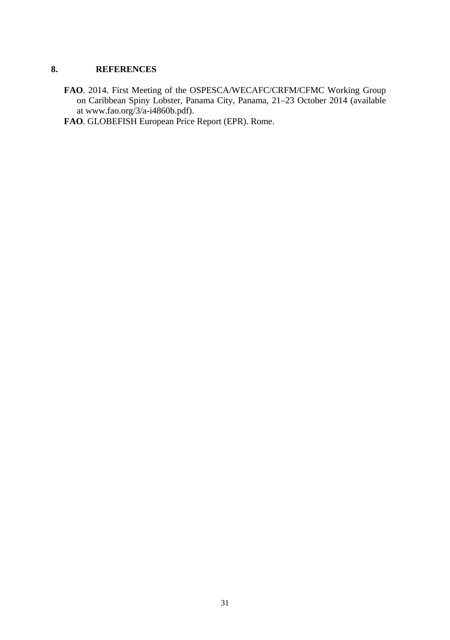#### **8. REFERENCES**

- **FAO**. 2014. First Meeting of the OSPESCA/WECAFC/CRFM/CFMC Working Group on Caribbean Spiny Lobster, Panama City, Panama, 21–23 October 2014 (available at www.fao.org/3/a-i4860b.pdf).
- **FAO**. GLOBEFISH European Price Report (EPR). Rome.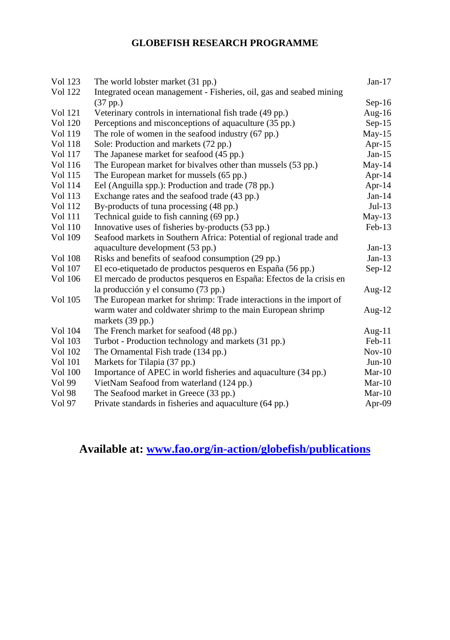# **GLOBEFISH RESEARCH PROGRAMME**

| Vol 123        | The world lobster market (31 pp.)                                    | $Jan-17$  |
|----------------|----------------------------------------------------------------------|-----------|
| <b>Vol</b> 122 | Integrated ocean management - Fisheries, oil, gas and seabed mining  |           |
|                | $(37$ pp.)                                                           | $Sep-16$  |
| Vol 121        | Veterinary controls in international fish trade (49 pp.)             | Aug-16    |
| <b>Vol</b> 120 | Perceptions and misconceptions of aquaculture (35 pp.)               | $Sep-15$  |
| Vol 119        | The role of women in the seafood industry (67 pp.)                   | $May-15$  |
| <b>Vol</b> 118 | Sole: Production and markets (72 pp.)                                | Apr- $15$ |
| Vol 117        | The Japanese market for seafood (45 pp.)                             | $Jan-15$  |
| Vol 116        | The European market for bivalves other than mussels (53 pp.)         | $May-14$  |
| Vol 115        | The European market for mussels (65 pp.)                             | Apr-14    |
| Vol 114        | Eel (Anguilla spp.): Production and trade (78 pp.)                   | Apr-14    |
| Vol 113        | Exchange rates and the seafood trade (43 pp.)                        | $Jan-14$  |
| Vol 112        | By-products of tuna processing (48 pp.)                              | $Jul-13$  |
| Vol 111        | Technical guide to fish canning (69 pp.)                             | $May-13$  |
| Vol 110        | Innovative uses of fisheries by-products (53 pp.)                    | $Feb-13$  |
| Vol 109        | Seafood markets in Southern Africa: Potential of regional trade and  |           |
|                | aquaculture development (53 pp.)                                     | $Jan-13$  |
| <b>Vol 108</b> | Risks and benefits of seafood consumption (29 pp.)                   | $Jan-13$  |
| Vol 107        | El eco-etiquetado de productos pesqueros en España (56 pp.)          | $Sep-12$  |
| Vol 106        | El mercado de productos pesqueros en España: Efectos de la crisis en |           |
|                | la producción y el consumo (73 pp.)                                  | Aug- $12$ |
| Vol 105        | The European market for shrimp: Trade interactions in the import of  |           |
|                | warm water and coldwater shrimp to the main European shrimp          | Aug- $12$ |
|                | markets (39 pp.)                                                     |           |
| Vol 104        | The French market for seafood (48 pp.)                               | Aug-11    |
| Vol 103        | Turbot - Production technology and markets (31 pp.)                  | $Feb-11$  |
| <b>Vol</b> 102 | The Ornamental Fish trade (134 pp.)                                  | $Nov-10$  |
| Vol 101        | Markets for Tilapia (37 pp.)                                         | $Jun-10$  |
| Vol 100        | Importance of APEC in world fisheries and aquaculture (34 pp.)       | $Mar-10$  |
| Vol 99         | VietNam Seafood from waterland (124 pp.)                             | $Mar-10$  |
| Vol 98         | The Seafood market in Greece (33 pp.)                                | $Mar-10$  |
| Vol 97         | Private standards in fisheries and aquaculture (64 pp.)              | Apr-09    |
|                |                                                                      |           |

**Available at: www.fao.org/in-action/globefish/publications**